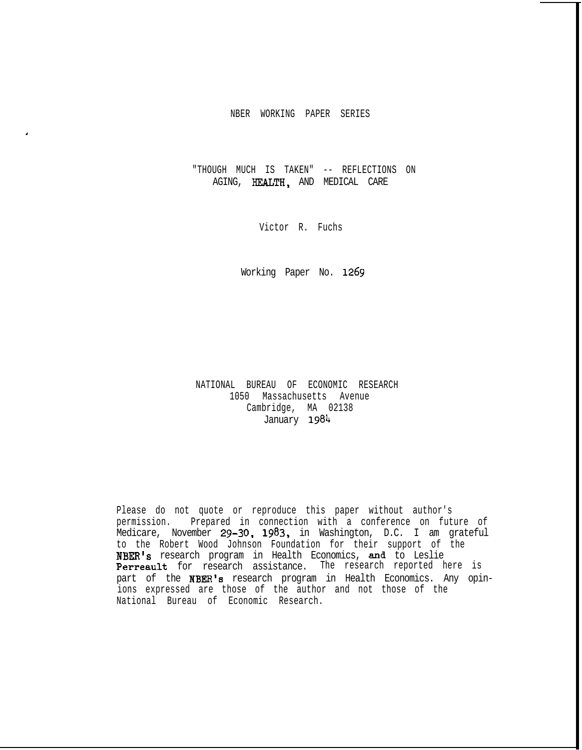## NBER WORKING PAPER SERIES

"THOUGH MUCH IS TAKEN" -- REFLECTIONS ON AGING, HEALTH, AND MEDICAL CARE

Victor R. Fuchs

Working Paper No. 1269

NATIONAL BUREAU OF ECONOMIC RESEARCH 1050 Massachusetts Avenue Cambridge, MA 02138 January 1984

Please do not quote or reproduce this paper without author's permission. Prepared in connection with a conference on future of Medicare, November 29-30, 1983, in Washington, D.C. I am grateful to the Robert Wood Johnson Foundation for their support of the NBER's research program in Health Economics, and to Leslie Perreault for research assistance. The research reported here is part of the NBER's research program in Health Economics. Any opinions expressed are those of the author and not those of the National Bureau of Economic Research.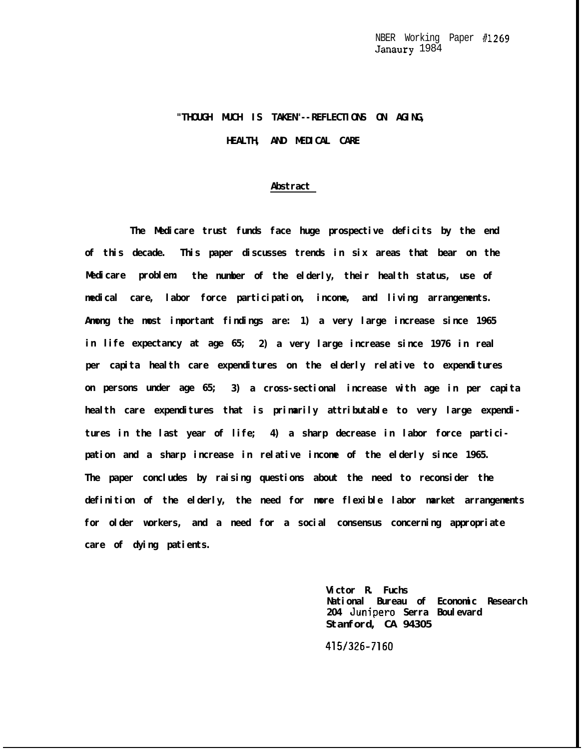# **"THOUGH MUCH IS TAKEN"--REFLECTIONS ON AGING, HEALTH, AND MEDICAL CARE**

## **Abstract**

**The Medicare trust funds face huge prospective deficits by the end of this decade. This paper discusses trends in six areas that bear on the Medicare problem: the number of the elderly, their health status, use of medical care, labor force participation, income, and living arrangements. Among the most important findings are: 1) a very large increase since 1965 in life expectancy at age 65; 2) a very large increase since 1976 in real per capita health care expenditures on the elderly relative to expenditures on persons under age 65; 3) a cross-sectional increase with age in per capita health care expenditures that is primarily attributable to very large expenditures in the last year of life; 4) a sharp decrease in labor force participation and a sharp increase in relative income of the elderly since 1965. The paper concludes by raising questions about the need to reconsider the definition of the elderly, the need for more flexible labor market arrangements for older workers, and a need for a social consensus concerning appropriate care of dying patients.**

> **Victor R. Fuchs National Bureau of Economic Research 204 Juniper0 Serra Boulevard Stanford, CA 94305**

**415/326-7160**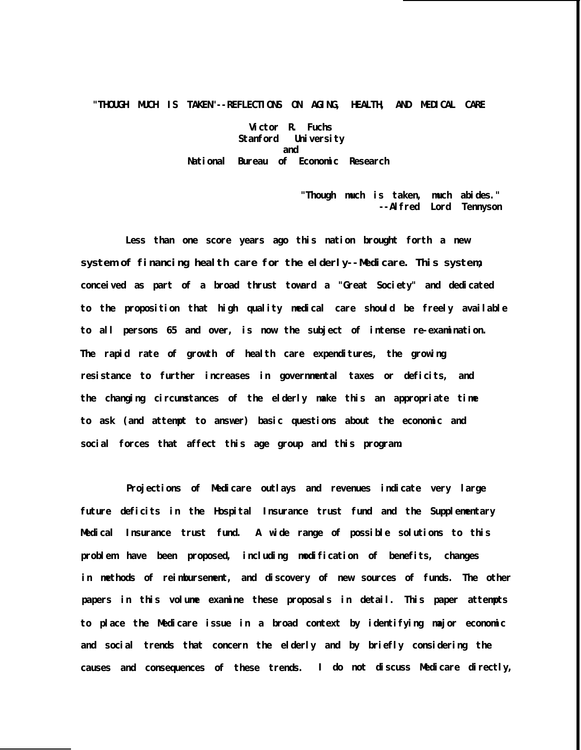### **"THOUGH MUCH IS TAKEN"--REFLECTIONS ON AGING, HEALTH, AND MEDICAL CARE**

**Victor R. Fuchs Stanford University and National Bureau of Economic Research**

> **"Though much is taken, much abides." --Alfred Lord Tennyson**

**Less than one score years ago this nation brought forth a new system of financing health care for the elderly--Medicare. This system, conceived as part of a broad thrust toward a "Great Society" and dedicated to the proposition that high quality medical care should be freely available to all persons 65 and over, is now the subject of intense re-examination. The rapid rate of growth of health care expenditures, the growing resistance to further increases in governmental taxes or deficits, and the changing circumstances of the elderly make this an appropriate time to ask (and attempt to answer) basic questions about the economic and social forces that affect this age group and this program.**

**Projections of Medicare outlays and revenues indicate very large future deficits in the Hospital Insurance trust fund and the Supplementary Medical Insurance trust fund. A wide range of possible solutions to this problem have been proposed, including modification of benefits, changes in methods of reimbursement, and discovery of new sources of funds. The other papers in this volume examine these proposals in detail. This paper attempts to place the Medicare issue in a broad context by identifying major economic and social trends that concern the elderly and by briefly considering the causes and consequences of these trends. I do not discuss Medicare directly,**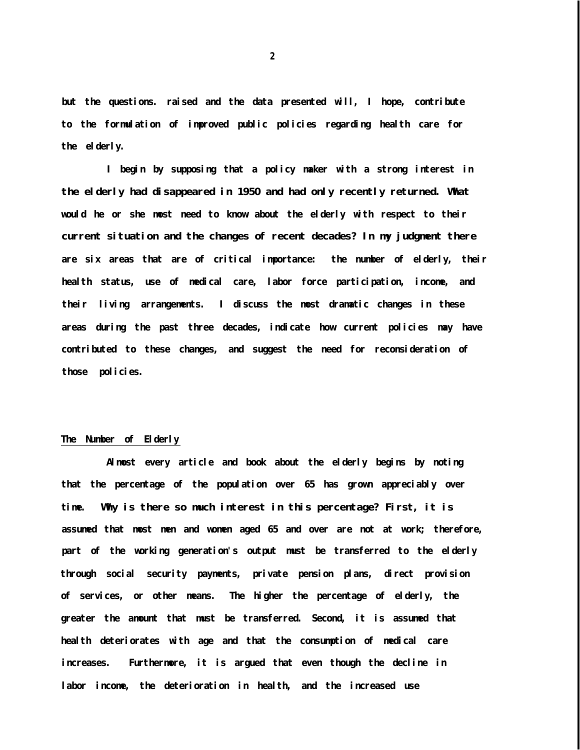**but the questions. raised and the data presented will, I hope, contribute to the formulation of improved public policies regarding health care for the elderly.**

**I begin by supposing that a policy maker with a strong interest in the elderly had disappeared in 1950 and had only recently returned. What would he or she most need to know about the elderly with respect to their current situation and the changes of recent decades? In my judgment there are six areas that are of critical importance: the number of elderly, their health status, use of medical care, labor force participation, income, and their living arrangements. I discuss the most dramatic changes in these areas during the past three decades, indicate how current policies may have contributed to these changes, and suggest the need for reconsideration of those policies.**

## **The Number of Elderly**

**Almost every article and book about the elderly begins by noting that the percentage of the population over 65 has grown appreciably over time. Why is there so much interest in this percentage? First, it is assumed that most men and women aged 65 and over are not at work; therefore, part of the working generation's output must be transferred to the elderly through social security payments, private pension plans, direct provision of services, or other means. The higher the percentage of elderly, the greater the amount that must be transferred. Second, it is assumed that health deteriorates with age and that the consumption of medical care increases. Furthermore, it is argued that even though the decline in labor income, the deterioration in health, and the increased use**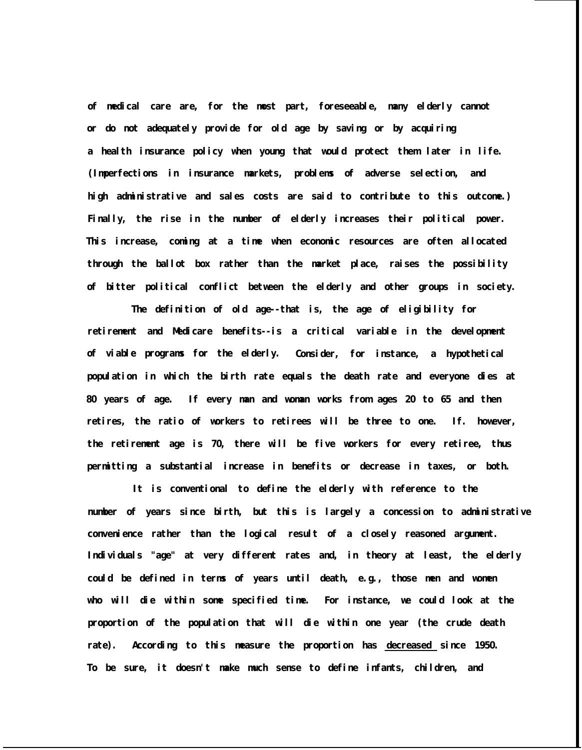**of medical care are, for the most part, foreseeable, many elderly cannot or do not adequately provide for old age by saving or by acquiring a health insurance policy when young that would protect them later in life. (Imperfections in insurance markets, problems of adverse selection, and high administrative and sales costs are said to contribute to this outcome.) Finally, the rise in the number of elderly increases their political power. This increase, coming at a time when economic resources are often allocated through the ballot box rather than the market place, raises the possibility of bitter political conflict between the elderly and other groups in society.**

**The definition of old age--that is, the age of eligibility for retirement and Medicare benefits--is a critical variable in the development of viable programs for the elderly. Consider, for instance, a hypothetical population in which the birth rate equals the death rate and everyone dies at 80 years of age. If every man and woman works from ages 20 to 65 and then retires, the ratio of workers to retirees will be three to one. If. however, the retirement age is 70, there will be five workers for every retiree, thus permitting a substantial increase in benefits or decrease in taxes, or both.**

**It is conventional to define the elderly with reference to the number of years since birth, but this is largely a concession to administrative convenience rather than the logical result of a closely reasoned argument. Individuals "age" at very different rates and, in theory at least, the elderly could be defined in terms of years until death, e.g., those men and women who will die within some specified time. For instance, we could look at the proportion of the population that will die within one year (the crude death rate). According to this measure the proportion has decreased since 1950. To be sure, it doesn't make much sense to define infants, children, and**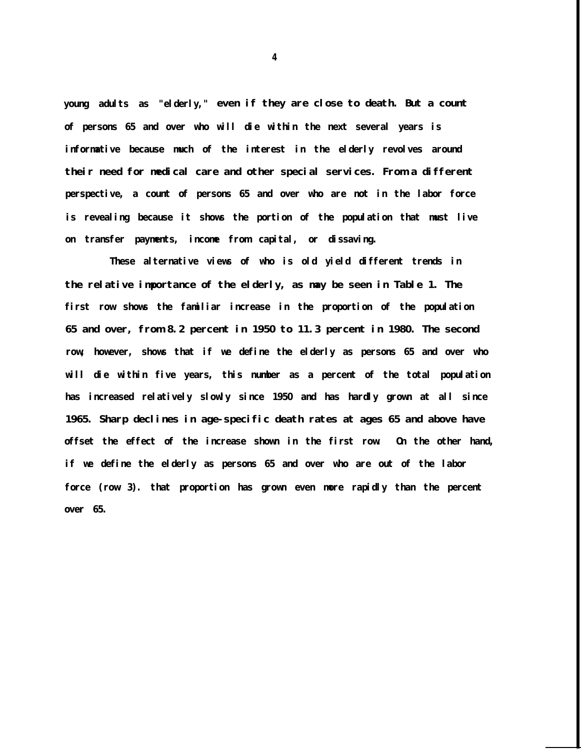**young adults as "elderly," even if they are close to death. But a count of persons 65 and over who will die within the next several years is informative because much of the interest in the elderly revolves around their need for medical care and other special services. From a different perspective, a count of persons 65 and over who are not in the labor force is revealing because it shows the portion of the population that must live on transfer payments, income from capital, or dissaving.**

**These alternative views of who is old yield different trends in the relative importance of the elderly, as may be seen in Table 1. The first row shows the familiar increase in the proportion of the population 65 and over, from 8.2 percent in 1950 to 11.3 percent in 1980. The second row, however, shows that if we define the elderly as persons 65 and over who will die within five years, this number as a percent of the total population has increased relatively slowly since 1950 and has hardly grown at all since 1965. Sharp declines in age-specific death rates at ages 65 and above have offset the effect of the increase shown in the first row. On the other hand, if we define the elderly as persons 65 and over who are out of the labor force (row 3). that proportion has grown even more rapidly than the percent over 65.**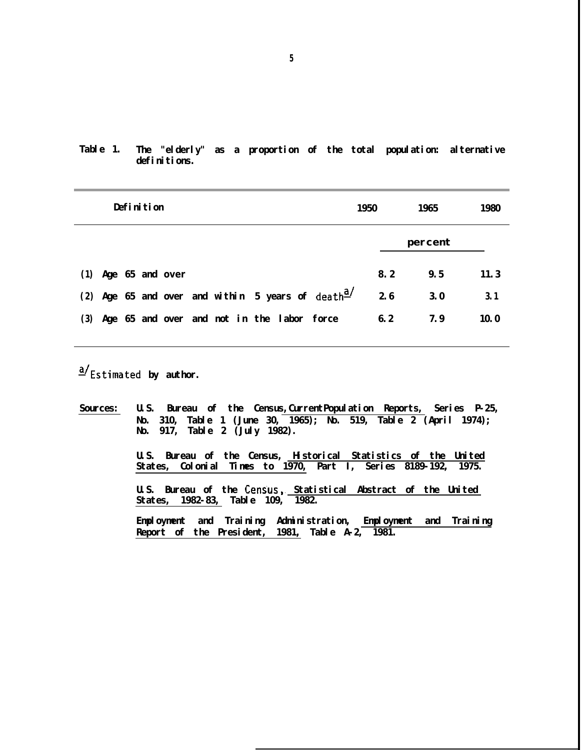|  |              |  |  |  | Table 1. The "elderly" as a proportion of the total population: alternative |  |
|--|--------------|--|--|--|-----------------------------------------------------------------------------|--|
|  | definitions. |  |  |  |                                                                             |  |

| Definition             |                                                           | 1950 | 1965    | 1980 |
|------------------------|-----------------------------------------------------------|------|---------|------|
|                        |                                                           |      | percent |      |
| Age 65 and over<br>(1) |                                                           | 8.2  | 9.5     | 11.3 |
| (2)                    | Age 65 and over and within 5 years of death $\frac{a}{2}$ | 2.6  | 3.0     | 3.1  |
| (3)                    | Age 65 and over and not in the labor force                | 6.2  | 7.9     | 10.0 |

 $\frac{a}{b}$ Estimated by author.

| <b>Sources:</b> | U.S. Bureau of the Census, CurrentPopulation Reports, Series P-25, |  |  |  |  |  |  |  |
|-----------------|--------------------------------------------------------------------|--|--|--|--|--|--|--|
|                 | No. 310, Table 1 (June 30, 1965); No. 519, Table 2 (April 1974);   |  |  |  |  |  |  |  |
|                 | No. 917, Table 2 (July 1982).                                      |  |  |  |  |  |  |  |
|                 | U.S. Bureau of the Census, Historical Statistics of the United     |  |  |  |  |  |  |  |
|                 | States, Colonial Times to 1970, Part I, Series 8189-192, 1975.     |  |  |  |  |  |  |  |
|                 | U.S. Bureau of the Census, Statistical Abstract of the United      |  |  |  |  |  |  |  |
|                 | States, 1982-83, Table 109, 1982.                                  |  |  |  |  |  |  |  |
|                 | Employment and Training Administration, Employment and Training    |  |  |  |  |  |  |  |

**Report of the President, 1981, Table A-2, 1981.**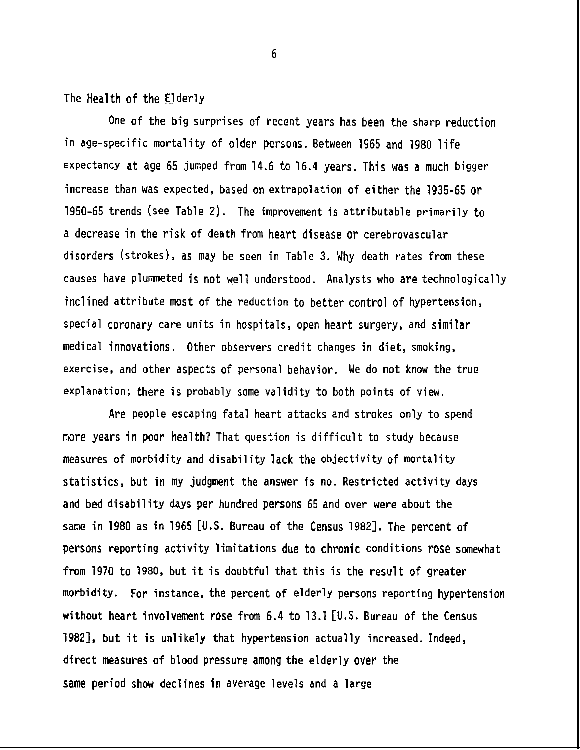## The Health of the Elderly **The Health of the Elderly**

One of the big surprises of recent years has been the sharp reduction in age-specific mortality of persons. Between <sup>1965</sup> and <sup>1980</sup> 1 i fe **in age-specific mortality of older persons. Between 1965 and 1980 life** expectancy at age 65 jumped from 14.6 to 16.4 years. This was a much bigger increase than was expected, based on extrapolation of either the 1935-65 or 1950-65 trends (see Table 2). The improvement is attributable primarily to <sup>a</sup> decrease in the risk of death from heart disease or cerebrovascular **a decrease in the risk of death from heart disease or cerebrovascular** disorders (strokes), as may be seen in Table 3. Why death rates from these causes have plummeted is not well understood. Analysts who are technologically inclined attribute of the reduction to better control of hypertension, **inclined attribute most of the reduction to better control of hypertension,** special coronary care units in hospitals, open heart surgery, and similar **special coronary care units in hospitals, open heart surgery, and similar** medical innovations. Other observers credit changes in diet, smoking, **medical innovations. Other observers credit changes in diet, smoking,** exercise, and other aspects of personal behavior. We do not know the true explanation; there is probably some vail di ty to both points of view. **explanation; there is probably some validity to both points of view.**

Are people escaping fatal heart attacks and strokes only to spend **Are people escaping fatal heart attacks and strokes only to spend** more years in poor health? Thatquestion is difficult to study because **more years in poor health? That question is difficult to study because** measures of morbidity and disability lack the objectivity of mortality **measures of morbidity and disability lack the objectivity of mortality** statistics, but in my judgment the answer is no. Restricted activity days and bed disability days per hundred persons 65 and over were about the same in 1980 as in 1965 [U.S. Bureau of the Census 1982]. The percent of persons reporting activity limitations due to chronic conditions rose somewhat from 1970 to 1980, but it is doubtful that this is the result of greater morbidity. For instance, the percent of elderly persons reporting hypertension without heart involvement rose from 6.4 to 13.1 [U.S. Bureau of the Census 1 982] but it is unlikely that hypertension actually increased. Indeed, **19821. but it is unlikely that hypertension actually increased. Indeed,** direct measures of blood pressure among the elderly over the **direct measures of blood pressure among the elderly over the** same period show declines in average levels and <sup>a</sup> large **same period show declines in average levels and a large**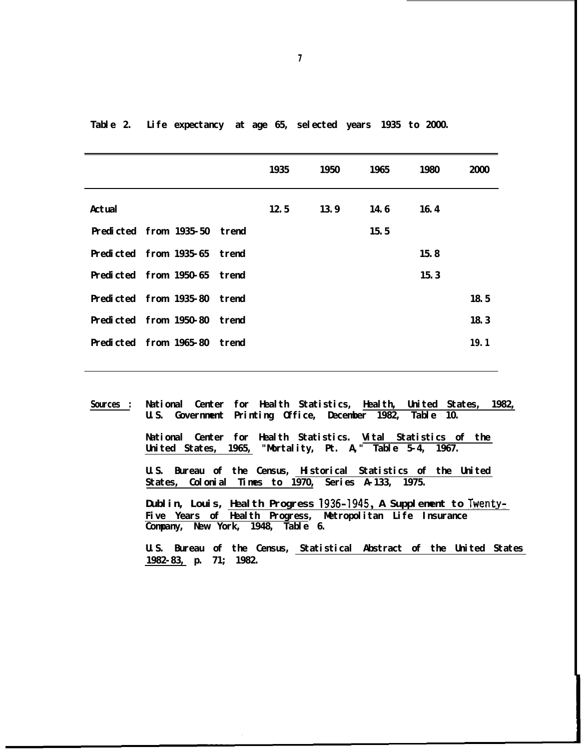**Table 2. Life expectancy at age 65, selected years 1935 to 2000.**

|               |                               |       | 1935 | 1950 | 1965 | 1980 | 2000 |
|---------------|-------------------------------|-------|------|------|------|------|------|
| <b>Actual</b> |                               |       | 12.5 | 13.9 | 14.6 | 16.4 |      |
|               | <b>Predicted from 1935-50</b> | trend |      |      | 15.5 |      |      |
|               | Predicted from 1935-65        | trend |      |      |      | 15.8 |      |
|               | Predicted from 1950-65        | trend |      |      |      | 15.3 |      |
|               | Predicted from 1935-80        | trend |      |      |      |      | 18.5 |
|               | <b>Predicted from 1950-80</b> | trend |      |      |      |      | 18.3 |
|               | Predicted from 1965-80        | trend |      |      |      |      | 19.1 |
|               |                               |       |      |      |      |      |      |

|  | Sources : National Center for Health Statistics, Health, United States, 1982,<br>U.S. Government Printing Office, December 1982, Table 10.                           |
|--|----------------------------------------------------------------------------------------------------------------------------------------------------------------------|
|  | National Center for Health Statistics. Vital Statistics of the<br>United States, 1965, "Mortality, Pt. A," Table 5-4, 1967.                                          |
|  | U.S. Bureau of the Census, Historical Statistics of the United<br>States, Colonial Times to 1970, Series A-133, 1975.                                                |
|  | Dublin, Louis, Health Progress 1936-1945, A Supplement to Twenty-<br>Five Years of Health Progress, Metropolitan Life Insurance<br>Company, New York, 1948, Table 6. |
|  | U.S. Bureau of the Census, Statistical Abstract of the United States<br><u>1982-83,</u> p. 71; 1982.                                                                 |

I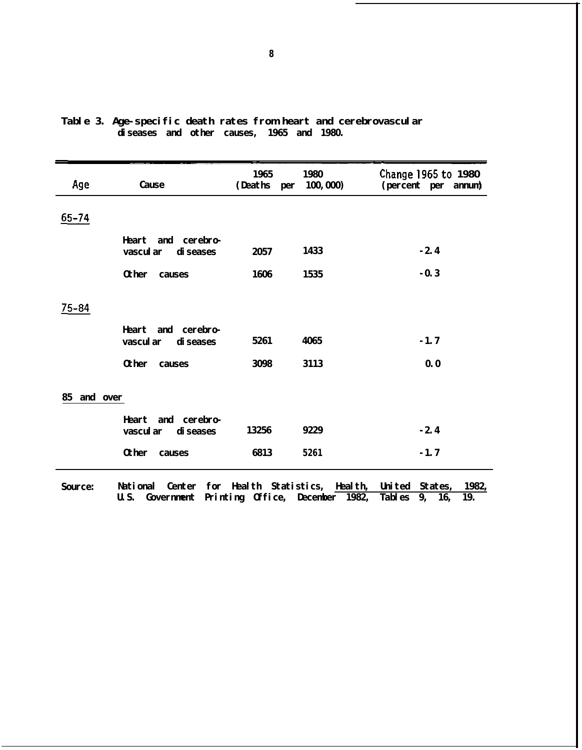| Age            | <b>Cause</b>                                       | 1965<br>(Deaths per | 1980<br>100, 000) | Change 1965 to 1980<br>(percent per annum) |
|----------------|----------------------------------------------------|---------------------|-------------------|--------------------------------------------|
| 65-74          |                                                    |                     |                   |                                            |
|                | <b>Heart</b> and cerebro-<br>vascular<br>di seases | 2057                | 1433              | $-2.4$                                     |
|                | <b>Other</b><br>causes                             | 1606                | 1535              | $-0.3$                                     |
| 75-84          |                                                    |                     |                   |                                            |
|                | Heart and cerebro-<br>vascul ar<br>di seases       | 5261                | 4065              | $-1.7$                                     |
|                | <b>Other</b><br>causes                             | 3098                | 3113              | 0.0                                        |
| and over<br>85 |                                                    |                     |                   |                                            |
|                | Heart and cerebro-<br>vascul ar<br>di seases       | 13256               | 9229              | $-2.4$                                     |
|                | <b>Other</b><br>causes                             | 6813                | 5261              | $-1.7$                                     |

## **Table 3. Age-specific death rates from heart and cerebrovascular diseases and other causes, 1965 and 1980.**

**Source: National Center for Health Statistics, Health, United States, 1982, U.S. Government Printing Office, December 1982, Tables 9, 16, 19.**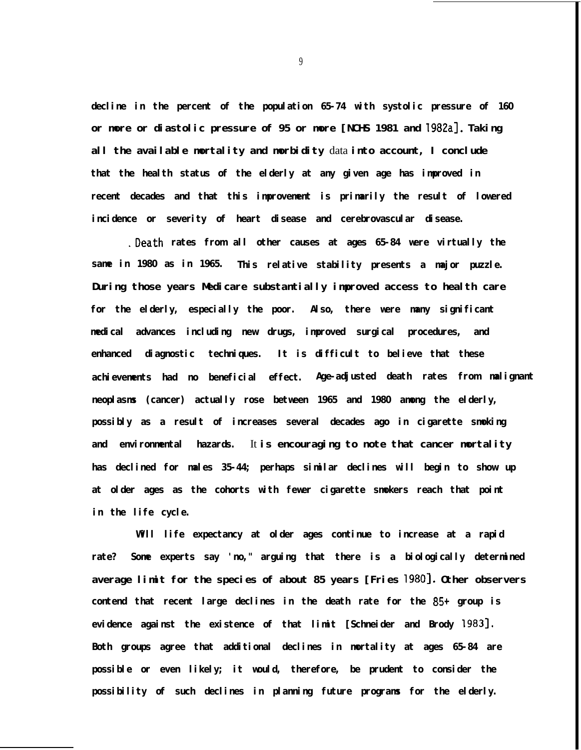**decline in the percent of the population 65-74 with systolic pressure of 160 or more or diastolic pressure of 95 or more [NCHS 1981 and 1982a]. Taking all the available mortality and morbidity** data **into account, I conclude that the health status of the elderly at any given age has improved in recent decades and that this improvement is primarily the result of lowered incidence or severity of heart disease and cerebrovascular disease.**

**.Death rates from all other causes at ages 65-84 were virtually the same in 1980 as in 1965. This relative stability presents a major puzzle. During those years Medicare substantially improved access to health care for the elderly, especially the poor. Also, there were many significant medical advances including new drugs, improved surgical procedures, and enhanced diagnostic techniques. It is difficult to believe that these achievements had no beneficial effect. Age-adjusted death rates from malignant neoplasms (cancer) actually rose between 1965 and 1980 among the elderly, possibly as a result of increases several decades ago in cigarette smoking and environmental hazards.** It **is encouraging to note that cancer mortality has declined for males 35-44; perhaps similar declines will begin to show up at older ages as the cohorts with fewer cigarette smokers reach that point in the life cycle.**

**Will life expectancy at older ages continue to increase at a rapid rate? Some experts say 'no," arguing that there is a biologically determined average limit for the species of about 85 years [Fries 19801. Other observers contend that recent large declines in the death rate for the 85+ group is evidence against the existence of that limit [Schneider and Brody 19831. Both groups agree that additional declines in mortality at ages 65-84 are possible or even likely; it would, therefore, be prudent to consider the possibility of such declines in planning future programs for the elderly.**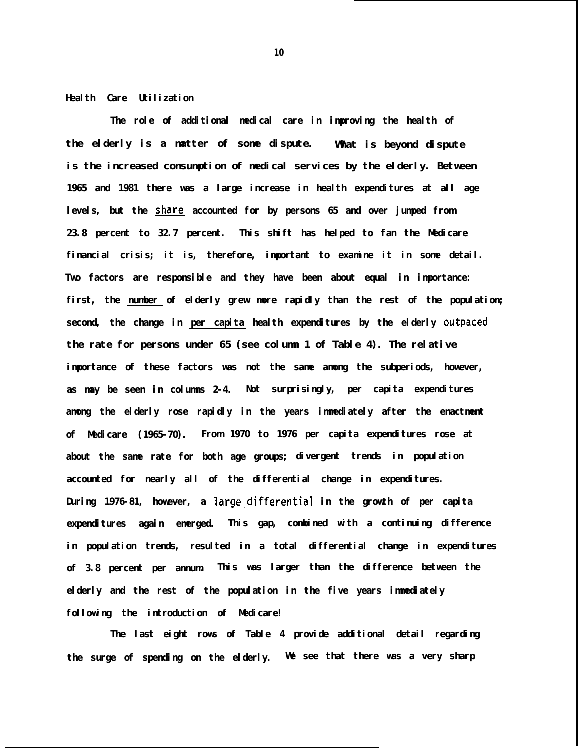## **Health Care Utilization**

**The role of additional medical care in improving the health of the elderly is a matter of some dispute. What is beyond dispute is the increased consumption of medical services by the elderly. Between 1965 and 1981 there was a large increase in health expenditures at all age levels, but the share accounted for by persons 65 and over jumped from 23.8 percent to 32.7 percent. This shift has helped to fan the Medicare financial crisis; it is, therefore, important to examine it in some detail. Two factors are responsible and they have been about equal in importance: first, the number of elderly grew more rapidly than the rest of the population; second, the change in per capita health expenditures by the elderly outpaced the rate for persons under 65 (see column 1 of Table 4). The relative importance of these factors was not the same among the subperiods, however, as may be seen in columns 2-4. Not surprisingly, per capita expenditures among the elderly rose rapidly in the years immediately after the enactment of Medicare (1965-70). From 1970 to 1976 per capita expenditures rose at about the same rate for both age groups; divergent trends in population accounted for nearly all of the differential change in expenditures. During 1976-81, however, a large~differential in the growth of per capita expenditures again emerged. This gap, combined with a continuing difference in population trends, resulted in a total differential change in expenditures of 3.8 percent per annum. This was larger than the difference between the elderly and the rest of the population in the five years immediately following the introduction of Medicare!**

**The last eight rows of Table 4 provide additional detail regarding the surge of spending on the elderly. We see that there was a very sharp**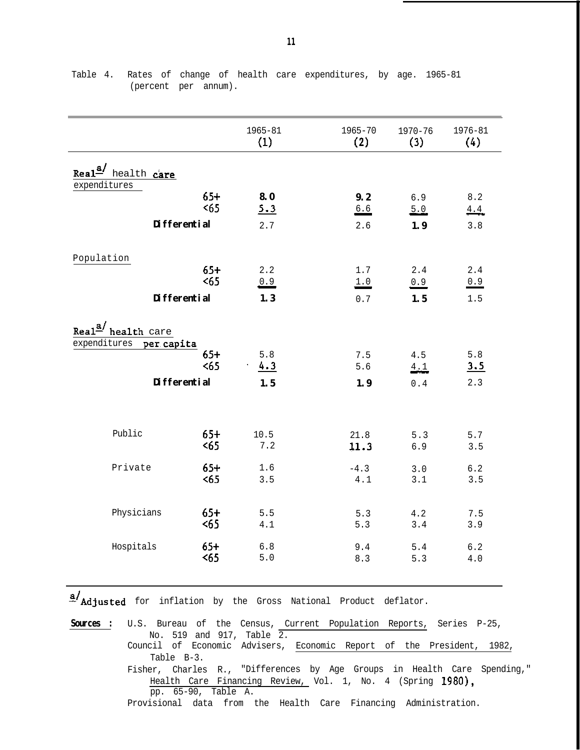|                                                    |              | $1965 - 81$<br>(1) | 1965-70<br>(2) | 1970-76<br>(3) | 1976-81<br>(4) |
|----------------------------------------------------|--------------|--------------------|----------------|----------------|----------------|
| Real <sup>a/</sup> health care<br>expenditures     |              |                    |                |                |                |
|                                                    | $65+$        | 8.0                | 9.2            | 6.9            | 8.2            |
|                                                    | 55           | 5.3                | 6.6            | 5.0            | 4.4            |
|                                                    | Differential | 2.7                | 2.6            | 1.9            | 3.8            |
| Population                                         | $65+$        | 2.2                | 1.7            | 2.4            | 2.4            |
|                                                    | 55           | 0.9                | 1.0            | 0.9            | 0.9            |
|                                                    | Differential | 1.3                | 0.7            | 1.5            | 1.5            |
| $Reala/$ health care<br>expenditures<br>per capita |              |                    |                |                |                |
|                                                    | $65+$        | 5.8                | 7.5            | 4.5            | 5.8            |
|                                                    | $65$         | 4.3                | 5.6            | 4.1            | 3.5            |
|                                                    | Differential | 1.5                | 1.9            | 0.4            | 2.3            |
| Public                                             | $65+$        | 10.5               | 21.8           | 5.3            | 5.7            |
|                                                    | 55           | 7.2                | 11.3           | 6.9            | 3.5            |
| Private                                            | $65+$        | 1.6                | $-4.3$         | 3.0            | $6.2$          |
|                                                    | $65$         | 3.5                | 4.1            | 3.1            | 3.5            |
| Physicians                                         | $65+$        | 5.5                | 5.3            | 4.2            | 7.5            |
|                                                    | $65$         | 4.1                | 5.3            | 3.4            | 3.9            |
| Hospitals                                          | $65+$        | 6.8                | 9.4            | 5.4            | $6.2$          |
|                                                    | $65$         | 5.0                | 8.3            | 5.3            | 4.0            |

Table 4. Rates of change of health care expenditures, by age. 1965-81 (percent per annum).

a/Adjusted for inflation by the Gross National Product deflator.

**Sources :** U.S. Bureau of the Census, Current Population Reports, Series P-25, No. 519 and 917, Table 2. Council of Economic Advisers, Economic Report of the President, 1982, Table B-3. Fisher, Charles R., "Differences by Age Groups in Health Care Spending," Health Care Financing Review, Vol. 1, No. 4 (Spring 1980), pp. 65-90, Table A. Provisional data from the Health Care Financing Administration.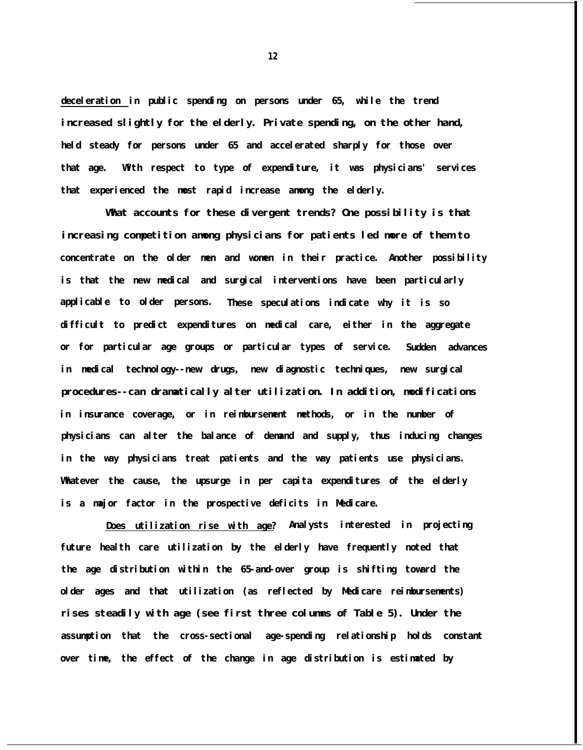**deceleration in public spending on persons under 65, while the trend increased slightly for the elderly. Private spending, on the other hand, held steady for persons under 65 and accelerated sharply for those over that age. With respect to type of expenditure, it was physicians' services that experienced the most rapid increase among the elderly.**

**What accounts for these divergent trends? One possibility is that increasing competition among physicians for patients led more of them to concentrate on the older men and women in their practice. Another possibility is that the new medical and surgical interventions have been particularly applicable to older persons. These speculations indicate why it is so difficult to predict expenditures on medical care, either in the aggregate or for particular age groups or particular types of service. Sudden advances in medical technology--new drugs, new diagnostic techniques, new surgical procedures--can dramatically alter utilization. In addition, modifications in insurance coverage, or in reimbursement methods, or in the number of physicians can alter the balance of demand and supply, thus inducing changes in the way physicians treat patients and the way patients use physicians. Whatever the cause, the upsurge in per capita expenditures of the elderly is a major factor in the prospective deficits in Medicare.**

**Does utilization rise with age? Analysts interested in projecting future health care utilization by the elderly have frequently noted that the age distribution within the 65-and-over group is shifting toward the older ages and that utilization (as reflected by Medicare reimbursements) rises steadily with age (see first three columns of Table 5). Under the assumption that the cross-sectional age-spending relationship holds constant over time, the effect of the change in age distribution is estimated by**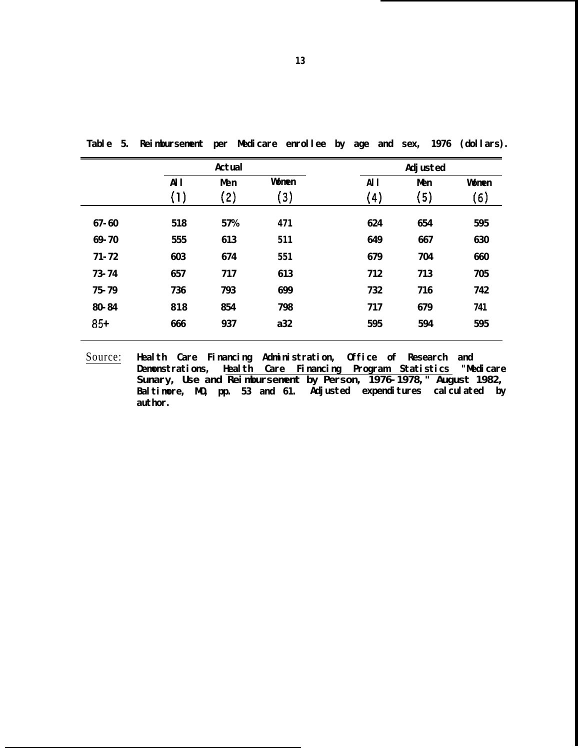|           |      | <b>Actual</b> |              |                 | <b>Adjusted</b> |              |
|-----------|------|---------------|--------------|-----------------|-----------------|--------------|
|           | Al 1 | Men           | <b>Women</b> | Al <sub>1</sub> | Men             | <b>Women</b> |
|           | (1)  | (2)           | (3)          | (4)             | (5)             | 6)           |
| $67 - 60$ | 518  | 57%           | 471          | 624             | 654             | 595          |
| $69 - 70$ | 555  | 613           | 511          | 649             | 667             | 630          |
| $71 - 72$ | 603  | 674           | 551          | 679             | 704             | 660          |
| $73 - 74$ | 657  | 717           | 613          | 712             | 713             | 705          |
| $75 - 79$ | 736  | 793           | 699          | 732             | 716             | 742          |
| $80 - 84$ | 818  | 854           | 798          | 717             | 679             | 741          |
| $85+$     | 666  | 937           | a32          | 595             | 594             | 595          |

**Table 5. Reimbursement per Medicare enrollee by age and sex, 1976 (dollars).**

Source: **Health Care Financing Administration, Office of Research and Demonstrations, Health Care Financing Program Statistics "Medicare Sunary, Use and Reimbursement by Person, 1976-1978," August 1982, Baltimore, MO, pp. 53 and 61. Adjusted expenditures calculated by author.**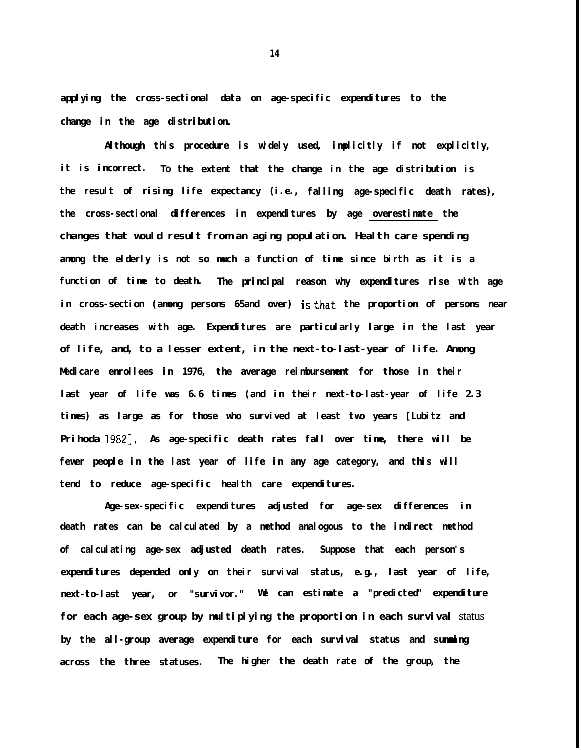**applying the cross-sectional data on age-specific expenditures to the change in the age distribution.**

**Although this procedure is widely used, implicitly if not explicitly, it is incorrect. TO the extent that the change in the age distribution is the result of rising life expectancy (i.e., falling age-specific death rates), the cross-sectional differences in expenditures by age overestimate the changes that would result from an aging population. Health care spending among the elderly is not so much a function of time since birth as it is a function of time to death. The principal reason why expenditures rise with age in cross-section (among persons 65and over) isthat the proportion of persons near death increases with age. Expenditures are particularly large in the last year of life, and, to a lesser extent, in the next-to-last-year of life. Among Medicare enrollees in 1976, the average reimbursement for those in their last year of life was 6.6 times (and in their next-to-last-year of life 2.3 times) as large as for those who survived at least two years [Lubitz and Prihoda 19821. As age-specific death rates fall over time, there will be fewer people in the last year of life in any age category, and this will tend to reduce age-specific health care expenditures.**

**Age-sex-specific expenditures adjusted for age-sex differences in death rates can be calculated by a method analogous to the indirect method of calculating age-sex adjusted death rates. Suppose that each person's expenditures depended only on their survival status, e.g., last year of life, next-to-last year, or "survivor." We can estimate a "predicted" expenditure for each age-sex group by multiplying the proportion in each survival** status **by the all-group average expenditure for each survival status and summing across the three statuses. The higher the death rate of the group, the**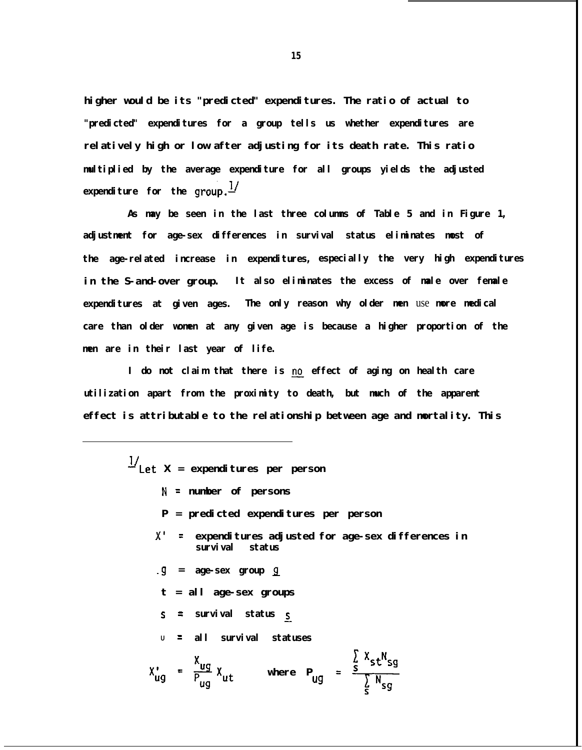**higher would be its "predicted" expenditures. The ratio of actual to "predicted" expenditures for a group tells us whether expenditures are relatively high or low after adjusting for its death rate. This ratio multiplied by the average expenditure for all groups yields the adjusted expenditure** for the group.  $\frac{1}{2}$ 

**As may be seen in the last three columns of Table 5 and in Figure 1, adjustment for age-sex differences in survival status eliminates most of the age-related increase in expenditures, especially the very high expenditures in the S-and-over group. It also eliminates the excess of male over female expenditures at given ages. The only reason why older men** use **more medical care than older women at any given age is because a higher proportion of the men are in their last year of life.**

**I do not claim that there is no effect of aging on health care utilization apart from the proximity to death, but much of the apparent effect is attributable to the relationship between age and mortality. This**

| $\frac{1}{2}$ Let X = expenditures per person                                                                        |
|----------------------------------------------------------------------------------------------------------------------|
| $N =$ number of persons                                                                                              |
| $P = predicted$ expenditures per person                                                                              |
| $X'$ = expenditures adjusted for age-sex differences in<br>survival status                                           |
| $.9 = age$ -sex group $g$                                                                                            |
| $t = all age$ sex groups                                                                                             |
| $s =$ survival status $s$                                                                                            |
| $U = all$ survival statuses                                                                                          |
| $P_{uq} = \frac{\frac{\lambda}{s} x_s t'' s g}{\frac{\lambda}{s} N_{sg}}$<br>$=\frac{x_{ug}}{P_{ug}}x_{ut}$<br>where |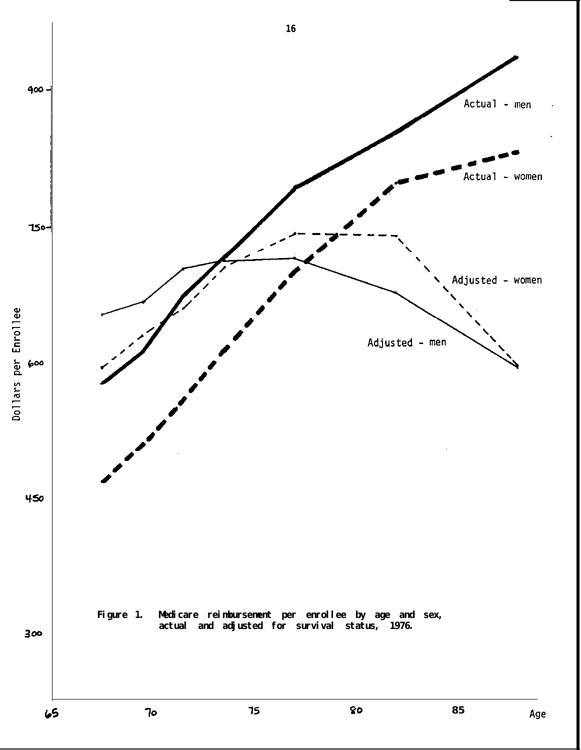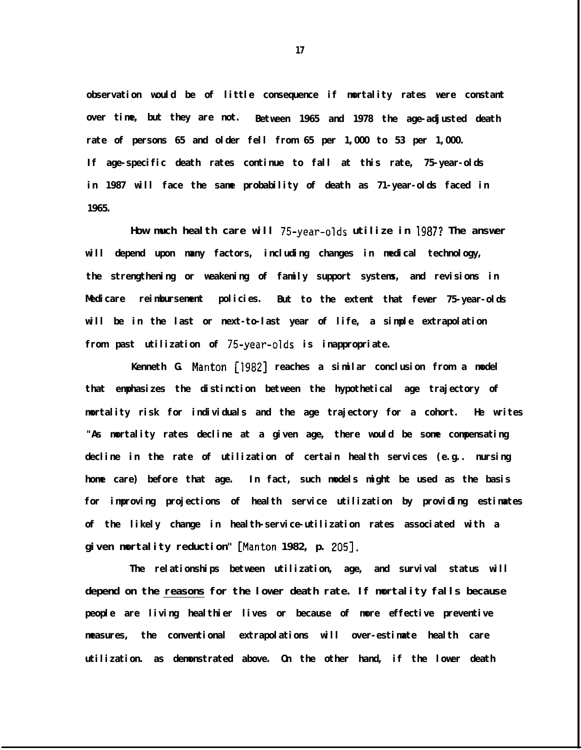**observation would be of little consequence if mortality rates were constant over time, but they are not. Between 1965 and 1978 the age-adjusted death rate of persons 65 and older fell from 65 per 1,000 to 53 per 1,000. If age-specific death rates continue to fall at this rate, 75-year-olds in 1987 will face the same probability of death as 71-year-olds faced in 1965.**

**How much health care will 75-year-olds utilize in 1987? The answer will depend upon many factors, including changes in medical technology, the strengthening or weakening of family support systems, and revisions in Medicare reimbursement policies. But to the extent that fewer 75-year-olds will be in the last or next-to-last year of life, a simple extrapolation from past utilization of 75-year-olds is inappropriate.**

**Kenneth G. Manton [1982] reaches a similar conclusion from a model that emphasizes the distinction between the hypothetical age trajectory of mortality risk for individuals and the age trajectory for a cohort. He writes "As mortality rates decline at a given age, there would be some compensating decline in the rate of utilization of certain health services (e.g.. nursing home care) before that age. In fact, such models might be used as the basis for improving projections of health service utilization by providing estimates of the likely change in health-service-utilization rates associated with a given mortality reduction" [Manton 1982, p. 2051.**

**The relationships between utilization, age, and survival status will depend on the reasons for the lower death rate. If mortality falls because people are living healthier lives or because of more effective preventive measures, the conventional extrapolations will over-estimate health care utilization. as demonstrated above. On the other hand, if the lower death**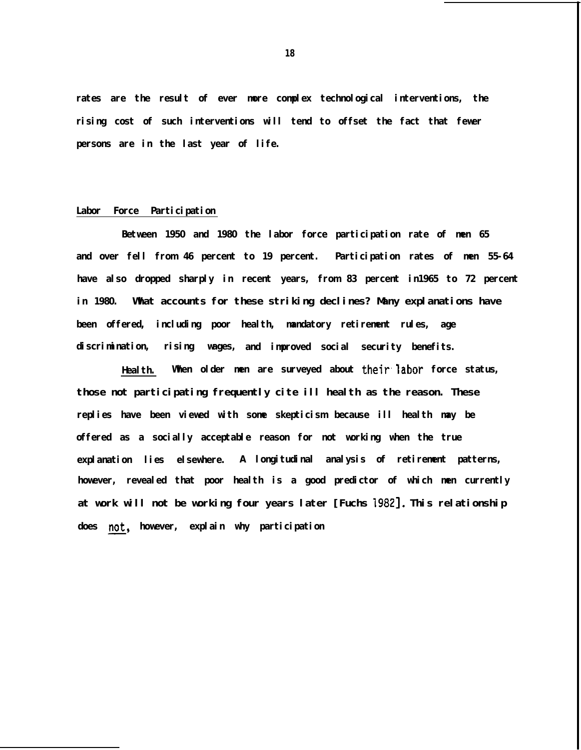**rates are the result of ever more complex technological interventions, the rising cost of such interventions will tend to offset the fact that fewer persons are in the last year of life.**

## **Labor Force Participation**

**Between 1950 and 1980 the labor force participation rate of men 65 and over fell from 46 percent to 19 percent. Participation rates of men 55-64 have also dropped sharply in recent years, from 83 percent in1965 to 72 percent in 1980. What accounts for these striking declines? Many explanations have been offered, including poor health, mandatory retirement rules, age discrimination, rising wages, and improved social security benefits.**

Health. When older men are surveyed about their labor force status, **those not participating frequently cite ill health as the reason. These replies have been viewed with some skepticism because ill health may be offered as a socially acceptable reason for not working when the true explanation lies elsewhere. A longitudinal analysis of retirement patterns, however, revealed that poor health is a good predictor of which men currently at work will not be working four years later [Fuchs 19821. This relationship** does not, however, explain why participation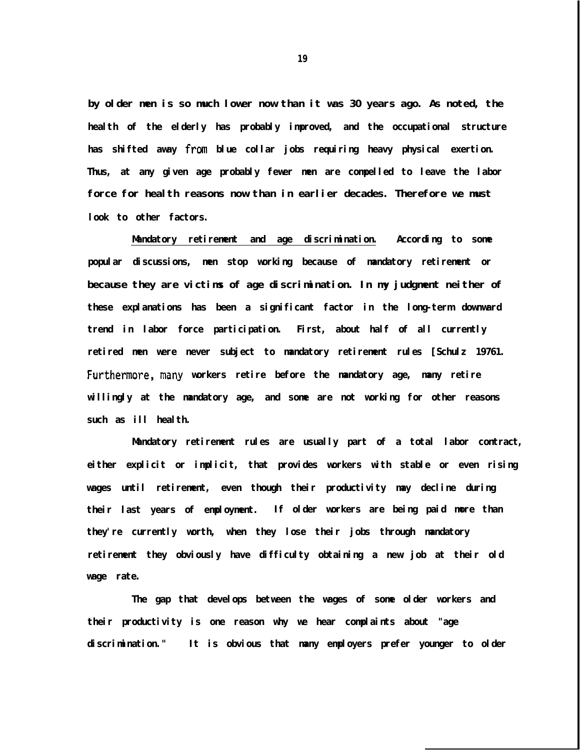**by older men is so much lower now than it was 30 years ago. As noted, the health of the elderly has probably improved, and the occupational structure has shifted away from blue collar jobs requiring heavy physical exertion. Thus, at any given age probably fewer men are compelled to leave the labor force for health reasons now than in earlier decades. Therefore we must look to other factors.**

**Mandatory retirement and age discrimination. According to some popular discussions, men stop working because of mandatory retirement or because they are victims of age discrimination. In my judgment neither of these explanations has been a significant factor in the long-term downward trend in labor force participation. First, about half of all currently retired men were never subject to mandatory retirement rules [Schulz 19761. Furthermore,,many workers retire before the mandatory age, many retire willingly at the mandatory age, and some are not working for other reasons such as ill health.**

**Mandatory retirement rules are usually part of a total labor contract, either explicit or implicit, that provides workers with stable or even rising wages until retirement, even though their productivity may decline during their last years of employment. If older workers are being paid more than they're currently worth, when they lose their jobs through mandatory retirement they obviously have difficulty obtaining a new job at their old wage rate.**

**The gap that develops between the wages of some older workers and their productivity is one reason why we hear complaints about "age discrimination." It is obvious that many employers prefer younger to older**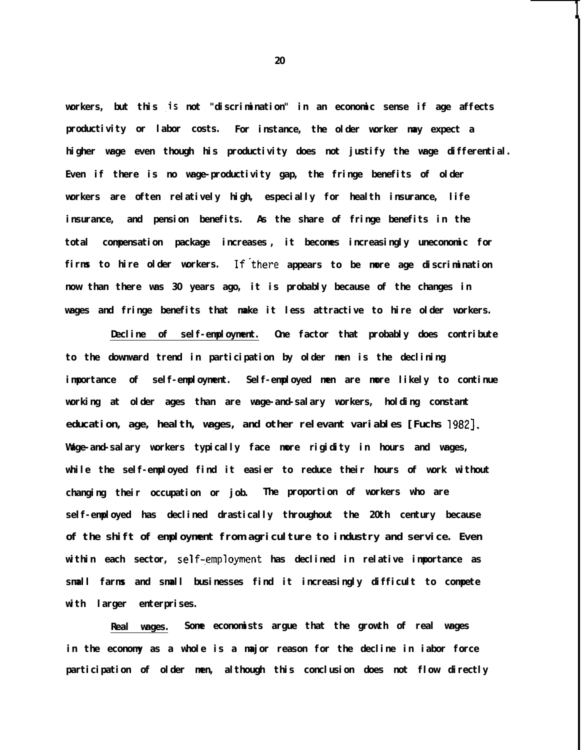**workers, but this his not "discrimination" in an economic sense if age affects productivity or labor costs. For instance, the older worker may expect a higher wage even though his productivity does not justify the wage differential. Even if there is no wage-productivity gap, the fringe benefits of older workers are often relatively high, especially for health insurance, life insurance, and pension benefits. As the share of fringe benefits in the total compensation package increases , it becomes increasingly uneconomic for firms to hire older workers. If.there appears to be more age discrimination now than there was 30 years ago, it is probably because of the changes in wages and fringe benefits that make it less attractive to hire older workers.**

**Decline of self-employment. One factor that probably does contribute to the downward trend in participation by older men is the declining importance of self-employment. Self-employed men are more likely to continue working at older ages than are wage-and-salary workers, holding constant education, age, health, wages, and other relevant variables [Fuchs 19821. Wage-and-salary workers typically face more rigidity in hours and wages, while the self-employed find it easier to reduce their hours of work without changing their occupation or job. The proportion of workers who are self-employed has declined drastically throughout the 20th century because of the shift of employment from agriculture to industry and service. Even** within each sector, self-employment has declined in relative importance as **small farms and small businesses find it increasingly difficult to compete with larger enterprises.**

**Real wages. Some economists argue that the growth of real wages in the economy as a whole is a major reason for the decline in iabor force participation of older men, although this conclusion does not flow directly**

**20**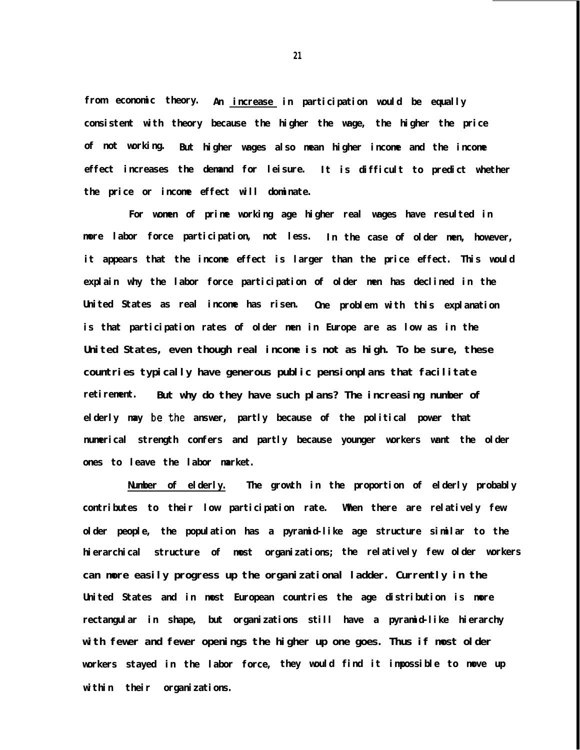**from economic theory. An increase in participation would be equally consistent with theory because the higher the wage, the higher the price of not working. But higher wages also mean higher income and the income effect increases the demand for leisure. It is difficult to predict whether the price or income effect will dominate.**

**For women of prime working age higher real wages have resulted in more labor force participation, not less. In the case of older men, however, it appears that the income effect is larger than the price effect. This would explain why the labor force participation of older men has declined in the United States as real income has risen. One problem with this explanation is that participation rates of older men in Europe are as low as in the United States, even though real income is not as high. To be sure, these countries typically have generous public pensionplans that facilitate retirement. But why do they have such plans? The increasing number of elderly may be,the answer, partly because of the political power that numerical strength confers and partly because younger workers want the older ones to leave the labor market.**

**Number of elderly. The growth in the proportion of elderly probably contributes to their low participation rate. When there are relatively few older people, the population has a pyramid-like age structure similar to the hierarchical structure of most organizations; the relatively few older workers can more easily progress up the organizational ladder. Currently in the United States and in most European countries the age distribution is more rectangular in shape, but organizations still have a pyramid-like hierarchy with fewer and fewer openings the higher up one goes. Thus if most older workers stayed in the labor force, they would find it impossible to move up within their organizations.**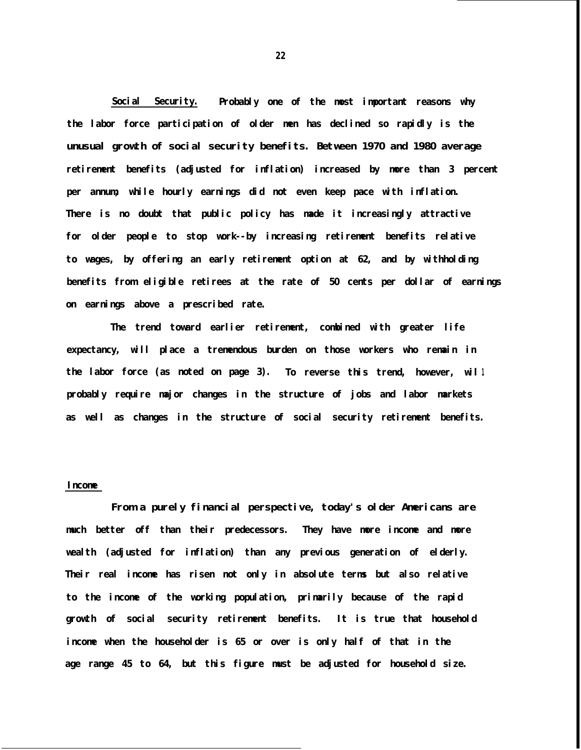**Social Security. Probably one of the most important reasons why the labor force participation of older men has declined so rapidly is the unusual growth of social security benefits. Between 1970 and 1980 average retirement benefits (adjusted for inflation) increased by more than 3 percent per annum, while hourly earnings did not even keep pace with inflation. There is no doubt that public policy has made it increasingly attractive for older people to stop work--by increasing retirement benefits relative to wages, by offering an early retirement option at 62, and by withholding benefits from eligible retirees at the rate of 50 cents per dollar of earnings on earnings above a prescribed rate.**

**The trend toward earlier retirement, combined with greater life expectancy, will place a tremendous burden on those workers who remain in the labor force (as noted on page 3). To reverse this trend, however, wil <sup>1</sup> probably require major changes in the structure of jobs and labor markets as well as changes in the structure of social security retirement benefits.**

## **Income**

**From a purely financial perspective, today's older Americans are much better off than their predecessors. They have more income and more wealth (adjusted for inflation) than any previous generation of elderly. Their real income has risen not only in absolute terms but also relative to the income of the working population, primarily because of the rapid growth of social security retirement benefits. It is true that household income when the householder is 65 or over is only half of that in the age range 45 to 64, but this figure must be adjusted for household size.**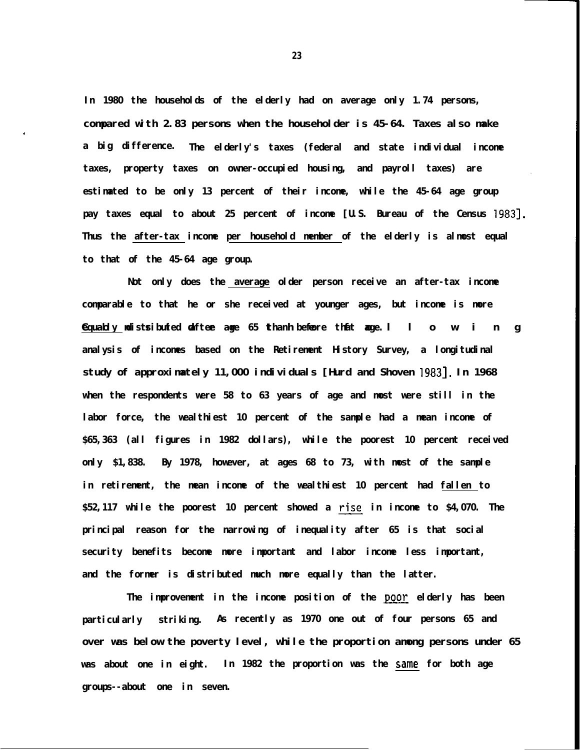**In 1980 the households of the elderly had on average only 1.74 persons, compared with 2.83 persons when the householder is 45-64. Taxes also make a big difference. The elderly's taxes (federal and state individual income taxes, property taxes on owner-occupied housing, and payroll taxes) are estimated to be only 13 percent of their income, while the 45-64 age group pay taxes equal to about 25 percent of income [U.S. Bureau of the Census 19831. Thus the after-tax income per household member of the elderly is almost equal to that of the 45-64 age group.**

**Not only does the average older person receive an after-tax income comparable to that he or she received at younger ages, but income is more Consider the following in the following equally distributed difter age 65 thanh before that age.** 1 1 o w i n g **analysis of incomes based on the Retirement History Survey, a longitudinal study of approximately 11,000 individuals [Hurd and Shoven 19831. In 1968 when the respondents were 58 to 63 years of age and most were still in the labor force, the wealthiest 10 percent of the sample had a mean income of \$65,363 (all figures in 1982 dollars), while the poorest 10 percent received only \$1,838. By 1978, however, at ages 68 to 73, with most of the sample in retirement, the mean income of the wealthiest 10 percent had fallen to \$52,117 while the poorest 10 percent showed a rise in income to \$4,070. The principal reason for the narrowing of inequality after 65 is that social security benefits become more important and labor income less important, and the former is distributed much more equally than the latter.**

The improvement in the income position of the **poor** elderly has been **particularly striking. As recently as 1970 one out of four persons 65 and over was below the poverty level, while the proportion among persons under 65 was about one in eight. In 1982 the proportion was the fame for both age groups--about one in seven.**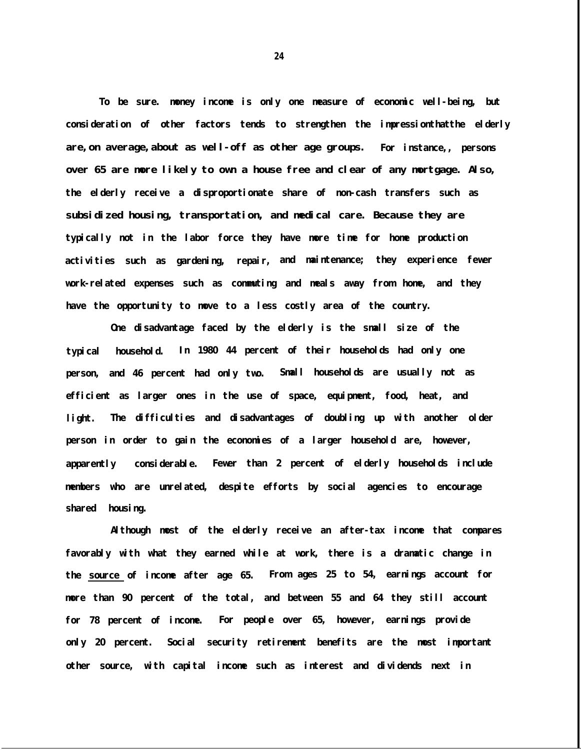**To be sure. money income is only one measure of economic well-being, but consideration of other factors tends to strengthen the impressionthatthe elderly are,on average,about as well-off as other age groups. For instance,, persons over 65 are more likely to own a house free and clear of any mortgage. Also, the elderly receive a disproportionate share of non-cash transfers such as subsidized housing, transportation, and medical care. Because they are typically not in the labor force they have more time for home production activities such as gardening, repair, and maintenance; they experience fewer work-related expenses such as commuting and meals away from home, and they have the opportunity to move to a less costly area of the country.**

**One disadvantage faced by the elderly is the small size of the typical household. In 1980 44 percent of their households had only one person, and 46 percent had only two. Small households are usually not as efficient as larger ones in the use of space, equipment, food, heat, and light. The difficulties and disadvantages of doubling up with another older person in order to gain the economies of a larger household are, however, apparently considerable. Fewer than 2 percent of elderly households include members who are unrelated, despite efforts by social agencies to encourage shared housing.**

**Although most of the elderly receive an after-tax income that compares favorably with what they earned while at work, there is a dramatic change in the source of income after age 65. From ages 25 to 54, earnings account for more than 90 percent of the total, and between 55 and 64 they still account for 78 percent of income. For people over 65, however, earnings provide only 20 percent. Social security retirement benefits are the most important other source, with capital income such as interest and dividends next in**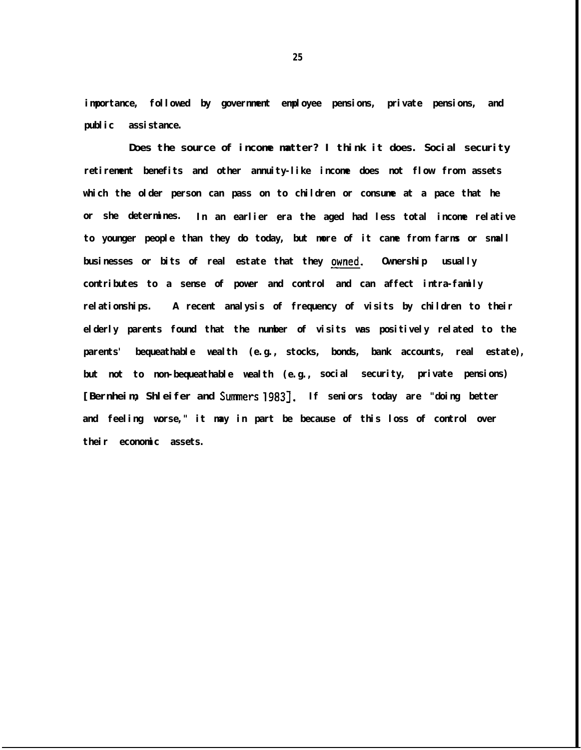**importance, followed by government employee pensions, private pensions, and public assistance.**

**Does the source of income matter? I think it does. Social security retirement benefits and other annuity-like income does not flow from assets which the older person can pass on to children or consume at a pace that he or she determines. In an earlier era the aged had less total income relative to younger people than they do today, but more of it came from farms or small businesses or bits of real estate that they &. Ownership usually contributes to a sense of power and control and can affect intra-family relationships. A recent analysis of frequency of visits by children to their elderly parents found that the number of visits was positively related to the parents' bequeathable wealth (e.g., stocks, bonds, bank accounts, real estate), but not to non-bequeathable wealth (e.g., social security, private pensions) [Bernheim, Shleifer and Summers 19831. If seniors today are "doing better and feeling worse," it may in part be because of this loss of control over their economic assets.**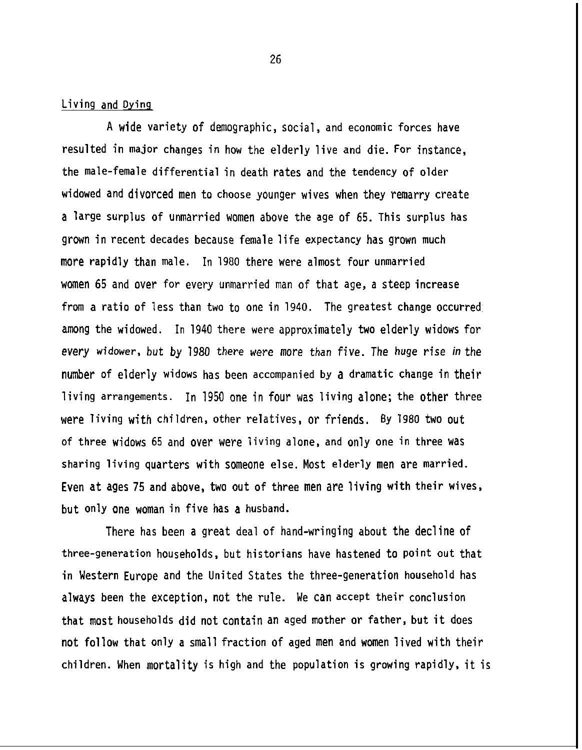Li 'tiny and **Living and Oying**

<sup>A</sup> variety of dernographi C, social, and economic forces have **A wide variety of demographic, social, and economic forces have** resulted in major changes in how the elderly live and die. For instance, the male-female differential in death rates and the tendency of older **the male-female differential in death rates and the tendency of older** widowed and divorced men to choose younger they remarry create **widowed and divorced men to choose younger wives when they remarry create** <sup>a</sup> surplus of unmarried women the age of 65. This surplus has **a large surplus of unmarried women above the,age of 65. This surplus has** grown in recent decades because female life expectancy has grown much **grown in recent decades because female life expectancy has grown much** more rapidly than male. In <sup>1980</sup> there were almost four unmarried **more rapidly than male. In 1980 there were almost fourunmarried** women 65 and over for every unmarried man of that age, a steep increase from a ratio of less than two to one in 1940. The greatest change occurred among the widowed. In 1940 there were approximately two elderly widows for every widower, but by 1980 there were more than five. The huge rise *in* the number of elderly widows has been accompanied by a dramatic change in their living arrangements. In 1950 one in four was living alone; the other three were living children, other relatives, or friends. By <sup>1980</sup> two out **were living with children, other relatives, or friends. By 1980 two out** of three widows 65 and over were living alone, and only one in three was sharing living quarters someone else. Most elderly men are married. **sharing living quarters with someone else. Most elderly men are married.** Even at ages 75 and above, two out of three men are living with their wives, but only one woman in five has <sup>a</sup> husband. **but only one woman in five has a husband.**

There has been <sup>a</sup> great deal of hand—wringing about the decline of **There has been a great deal of hand-wringing about the decline of** three-generation households, but historians have hastened to point out that **three-generation households, but historians have hastened to point out that** in Western Europe and the United States the three-generation household has always been the exception, not the We can accept their concl usi on **always been the exception, not the rule. We can accept their conclusion** that most households did not contain an aged mother or father, but it does not follow that only a small fraction of aged men and women lived with their children. When mortality is high and the population is growing rapidly, it is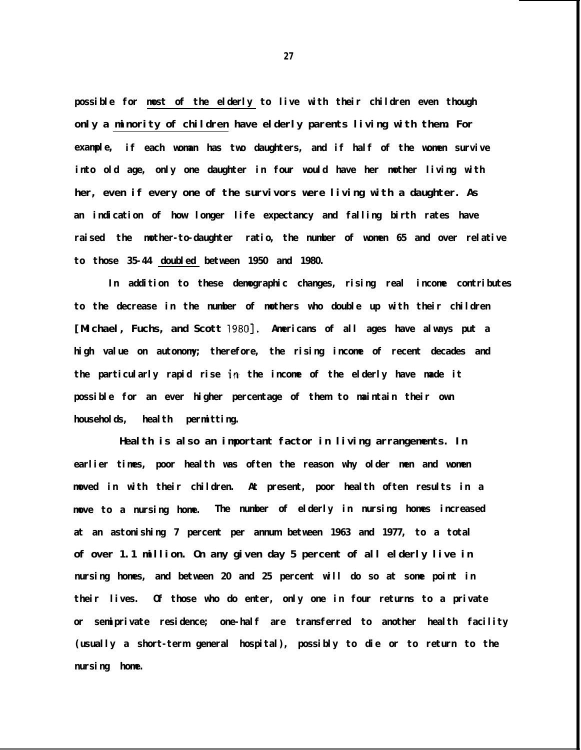**possible for most of the elderly to live with their children even though only a minority of children have elderly parents living with them. For example, if each woman has two daughters, and if half of the women survive into old age, only one daughter in four would have her mother living with her, even if every one of the survivors were living with a daughter. As an indication of how longer life expectancy and falling birth rates have raised the mother-to-daughter ratio, the number of women 65 and over relative to those 35-44 doubled between 1950 and 1980.**

**In addition to these demographic changes, rising real income contributes to the decrease in the number of mothers who double up with their children [Michael, Fuchs, and Scott 19801. Americans of all ages have always put a high value on autonomy; therefore, the rising income of recent decades and the particularly rapid rise in, the income of the elderly have made it possible for an ever higher percentage of them to maintain their own households, health permitting.**

**Health is also an important factor in living arrangements. In earlier times, poor health was often the reason why older men and women moved in with their children. At present, poor health often results in a move to a nursing home. The number of elderly in nursing homes increased at an astonishing 7 percent per annum between 1963 and 1977, to a total of over 1.1 million. On any given day 5 percent of all elderly live in nursing homes, and between 20 and 25 percent will do so at some point in their lives. Of those who do enter, only one in four returns to a private or semiprivate residence; one-half are transferred to another health facility (usually a short-term general hospital), possibly to die or to return to the nursing home.**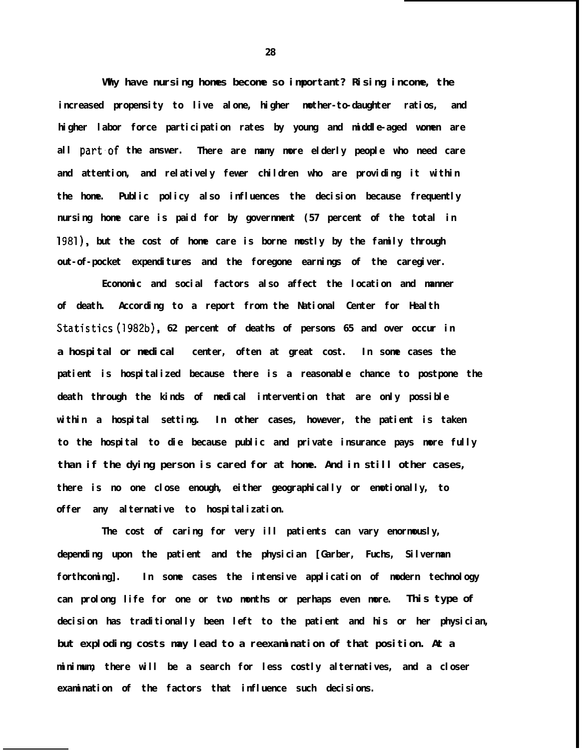**Why have nursing homes become so important? Rising income, the increased propensity to live alone, higher mother-to-daughter ratios, and higher labor force participation rates by young and middle-aged women are all part~of the answer. There are many more elderly people who need care and attention, and relatively fewer children who are providing it within the home. Public policy also influences the decision because frequently nursing home care is paid for by government (57 percent of the total in 1981), but the cost of home care is borne mostly by the family through out-of-pocket expenditures and the foregone earnings of the caregiver.**

**Economic and social factors also affect the location and manner of death. According to a report from the National Center for Health Statistics(l982b), 62 percent of deaths of persons 65 and over occur in a hospital or medical center, often at great cost. In some cases the patient is hospitalized because there is a reasonable chance to postpone the death through the kinds of medical intervention that are only possible within a hospital setting. In other cases, however, the patient is taken to the hospital to die because public and private insurance pays more fully than if the dying person is cared for at home. And in still other cases, there is no one close enough, either geographically or emotionally, to offer any alternative to hospitalization.**

**The cost of caring for very ill patients can vary enormously, depending upon the patient and the physician [Garber, Fuchs, Silverman forthcoming]. In some cases the intensive application of modern technology can prolong life for one or two months or perhaps even more. This type of decision has traditionally been left to the patient and his or her physician, but exploding costs may lead to a reexamination of that position. At a minimum, there will be a search for less costly alternatives, and a closer examination of the factors that influence such decisions.**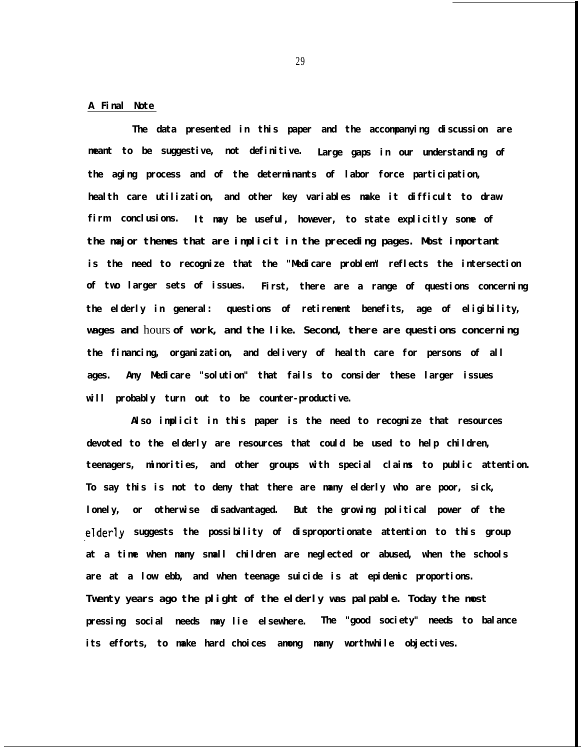## **A Final Note**

**The data presented in this paper and the accompanying discussion are meant to be suggestive, not definitive. Large gaps in our understanding of the aging process and of the determinants of labor force participation, health care utilization, and other key variables make it difficult to draw firm conclusions. It may be useful, however, to state explicitly some of the major themes that are implicit in the preceding pages. Most important is the need to recognize that the "Medicare problem" reflects the intersection of two larger sets of issues. First, there are a range of questions concerning the elderly in general: questions of retirement benefits, age of eligibility, wages and** hours **of work, and the like. Second, there are questions concerning the financing, organization, and delivery of health care for persons of all ages. Any Medicare "solution" that fails to consider these larger issues will probably turn out to be counter-productive.**

**Also implicit in this paper is the need to recognize that resources devoted to the elderly are resources that could be used to help children, teenagers, minorities, and other groups with special claims to public attention. To say this is not to deny that there are many elderly who are poor, sick, lonely, or otherwise disadvantaged. But the growing political power of the .elderly suggests the possibility of disproportionate attention to this group at a time when many small children are neglected or abused, when the schools are at a low ebb, and when teenage suicide is at epidemic proportions. Twenty years ago the plight of the elderly was palpable. Today the most lie elsewhere. The "good society" needs to balance pressing social needs may** its efforts, to make hard choices among many worthwhile objectives.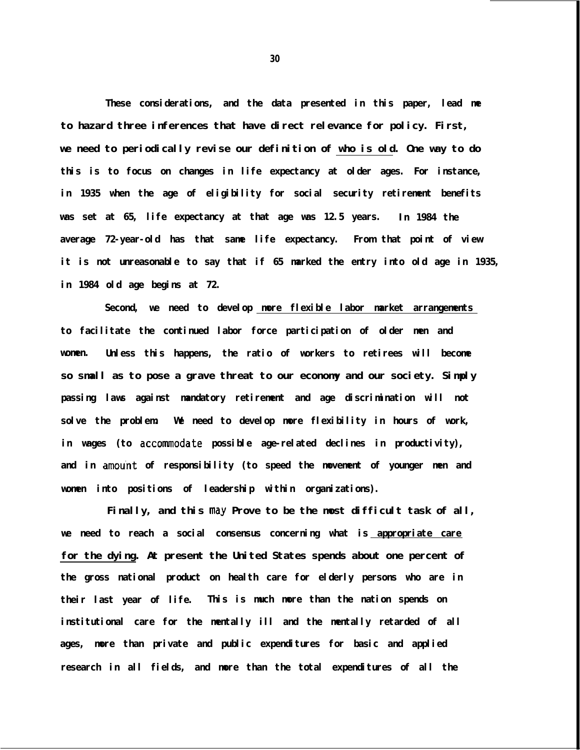**These considerations, and the data presented in this paper, lead me to hazard three inferences that have direct relevance for policy. First, we need to periodically revise our definition of who is old. One way to do this is to focus on changes in life expectancy at older ages. For instance, in 1935 when the age of eligibility for social security retirement benefits was set at 65, life expectancy at that age was 12.5 years. In 1984 the average 72-year-old has that same life expectancy. From that point of view it is not unreasonable to say that if 65 marked the entry into old age in 1935, in 1984 old age begins at 72.**

**Second, we need to develop more flexible labor market arrangements to facilitate the continued labor force participation of older men and women. Unless this happens, the ratio of workers to retirees will become so small as to pose a grave threat to our economy and our society. Simply passing laws against mandatory retirement and age discrimination will not solve the problem. We need to develop more flexibility in hours of work, in wages (to accommodate possible age-related declines in productivity), and in amou'nt of responsibility (to speed the movement of younger men and women into positions of leadership within organizations).**

**Finally, and this may Prove to be the most difficult task of all, we need to reach a social consensus concerning what is appropriate care for the dying. At present the United States spends about one percent of the gross national product on health care for elderly persons who are in their last year of life. This is much more than the nation spends on institutional care for the mentally ill and the mentally retarded of all ages, more than private and public expenditures for basic and applied research in all fields, and more than the total expenditures of all the**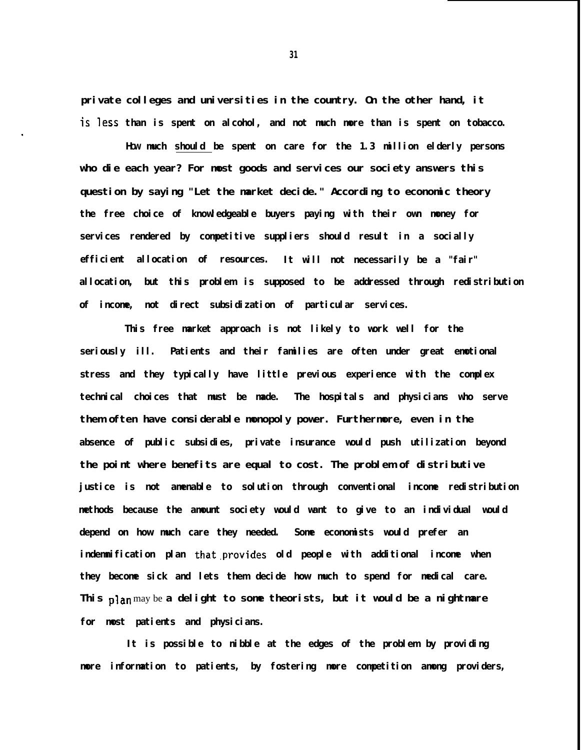**private colleges and universities in the country. On the other hand, it is 1eSS than is spent on alcohol, and not much more than is spent on tobacco.**

**HOW much should be spent on care for the 1.3 million elderly persons who die each year? For most goods and services our society answers this question by saying "Let the market decide." According to economic theory the free choice of knowledgeable buyers paying with their own money for services rendered by competitive suppliers should result in a socially efficient allocation of resources. It will not necessarily be a "fair" allocation, but this problem is supposed to be addressed through redistribution of income, not direct subsidization of particular services.**

**This free market approach is not likely to work well for the seriously ill. Patients and their families are often under great emotional stress and they typically have little previous experience with the complex technical choices that must be made. The hospitals and physicians who serve them often have considerable monopoly power. Furthermore, even in the absence of public subsidies, private insurance would push utilization beyond the point where benefits are equal to cost. The problem of distributive justice is not amenable to solution through conventional income redistribution methods because the amount society would want to give to an individual would depend on how much care they needed. Some economists would prefer an indemnification plan that,provides old people with additional income when they become sick and lets them decide how much to spend for medical care. This** plan may be **a delight to some theorists, but it would be a nightmare for most patients and physicians.**

**It is possible to nibble at the edges of the problem by providing more information to patients, by fostering more competition among providers,**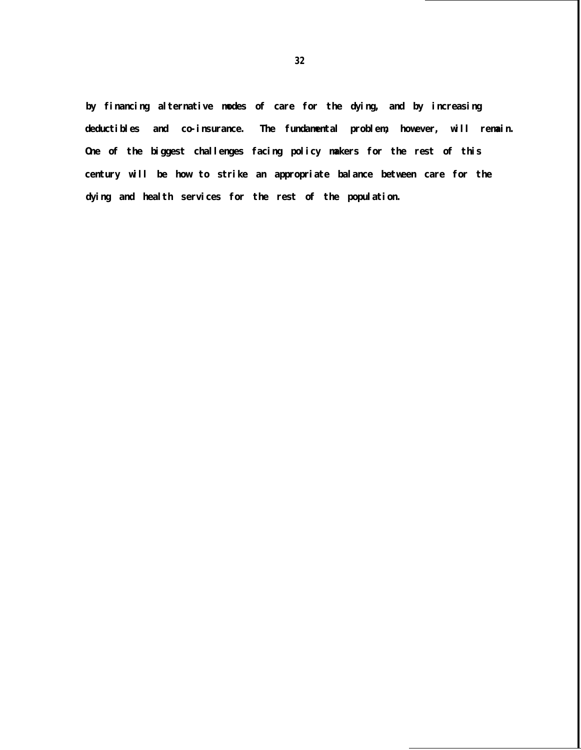**by financing alternative modes of care for the dying, and by increasing deductibles and co-insurance. The fundamental problem, however, will remain. One of the biggest challenges facing policy makers for the rest of this century will be how to strike an appropriate balance between care for the dying and health services for the rest of the population.**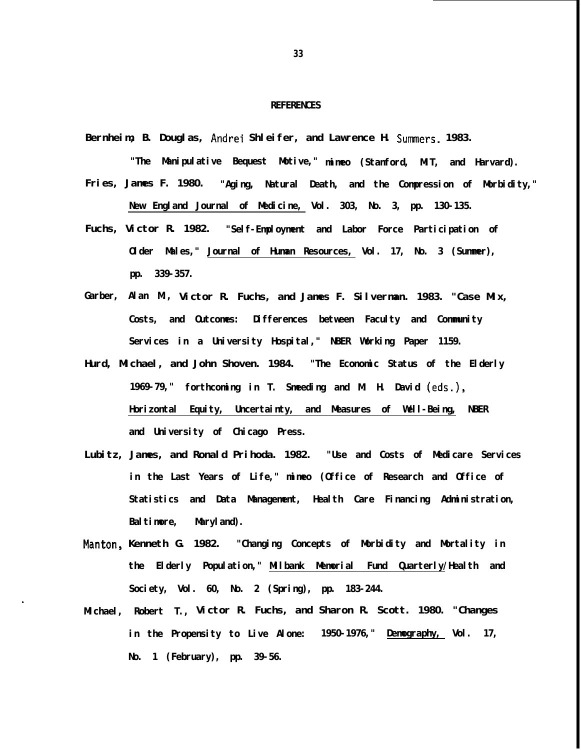### **REFERENCES**

**Bernheim, B. Douglas, Andrei Shleifer, and Lawrence H. Summers. 1983.**

**"The Manipulative Bequest Motive," mimeo (Stanford, MIT, and Harvard).**

- **Fries, James F. 1980. "Aging, Natural Death, and the Compression of Morbidity," New England Journal of Medicine, Vol. 303, No. 3, pp. 130-135.**
- **Fuchs, Victor R. 1982. "Self-Employment and Labor Force Participation of Older Males," Journal of Human Resources, Vol. 17, No. 3 (Summer), pp. 339-357.**
- **Garber, Alan M., Victor R. Fuchs, and James F. Silverman. 1983. "Case Mix, Costs, and Outcomes: Differences between Faculty and Community Services in a University Hospital," NBER Working Paper 1159.**
- **Hurd, Michael, and John Shoven. 1984. "The Economic Status of the Elderly 1969-79," forthcoming in T. Smeeding and M. H. David (eds.), Horizontal Equity, Uncertainty, and Measures of Well-Being, NBER and University of Chicago Press.**
- **Lubitz, James, and Ronald Prihoda. 1982. "Use and Costs of Medicare Services in the Last Years of Life," mimeo (Office of Research and Office of Statistics and Data Management, Health Care Financing Administration, Baltimore, Maryland).**
- **Manton, Kenneth G. 1982. "Changing Concepts of Morbidity and Mortality in the Elderly Population," Milbank Memorial Fund Quarterly/Health and Society, Vol. 60, No. 2 (Spring), pp. 183-244.**
- **Michael, Robert T., Victor R. Fuchs, and Sharon R. Scott. 1980. "Changes in the Propensity to Live Alone: 1950-1976," Demography, Vol. 17, No. 1 (February), pp. 39-56.**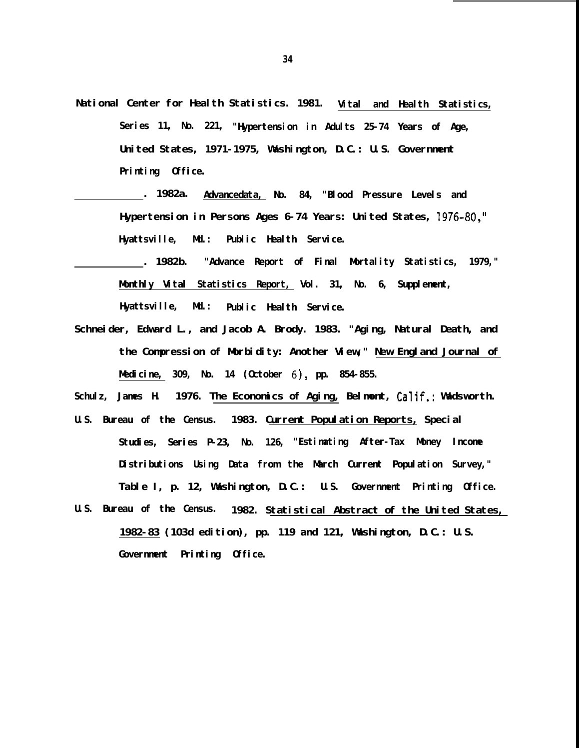- **National Center for Health Statistics. 1981. Vital and Health Statistics, Series 11, No. 221, "Hypertension in Adults 25-74 Years of Age, United States, 1971-1975, Washington, D.C.: U.S. Government Printing Office.**
	- **. 1982a. Advancedata, No. 84, "Blood Pressure Levels and Hypertension in Persons Ages 6-74 Years: United States, 1976-80," Hyattsville, Md.: Public Health Service.**
- **. 1982b. "Advance Report of Final Mortality Statistics, 1979," Monthly Vital Statistics Report, Vol. 31, No. 6, Supplement, Hyattsville, Md.: Public Health** *Service.*
- **Schneider, Edward L., and Jacob A. Brody. 1983. "Aging, Natural Death, and the Compression of Morbidity: Another View," New England Journal of Medicine, 309, No. 14 (October 6), pp. 854-855.**
- **Schulz, James H. 1976. The Economics of Aging, Belmont, Calif.: Wadsworth.**
- **U.S. Bureau of the Census. 1983. Current Population Reports, Special Studies, Series P-23, No. 126, "Estimating After-Tax Money Income Distributions Using Data from the March Current Population Survey," Table I, p. 12, Washington, D.C.: U.S. Government Printing Office.**
- **U.S. Bureau of the Census. 1982. Statistical Abstract of the United States, 1982-83 (103d edition), pp. 119 and 121, Washington, D.C.: U.S. Government Printing Office.**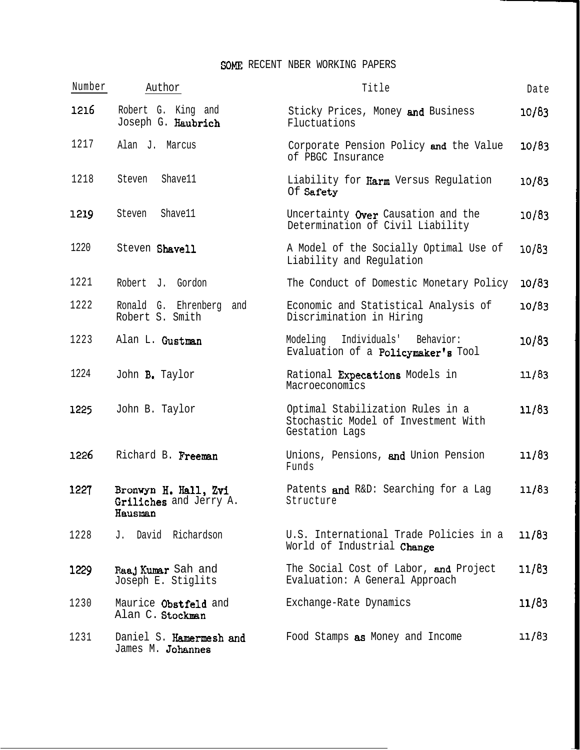SOME RECENT NBER WORKING PAPERS

| Number | Author                                                    | Title                                                                                     | Date  |
|--------|-----------------------------------------------------------|-------------------------------------------------------------------------------------------|-------|
| 1216   | Robert G. King and<br>Joseph G. Haubrich                  | Sticky Prices, Money and Business<br>Fluctuations                                         | 10/83 |
| 1217   | Alan J. Marcus                                            | Corporate Pension Policy and the Value<br>of PBGC Insurance                               | 10/83 |
| 1218   | Shave11<br>Steven                                         | Liability for <b>Harm</b> Versus Regulation<br>Of Safety                                  | 10/83 |
| 1219   | Shave11<br>Steven                                         | Uncertainty Over Causation and the<br>Determination of Civil Liability                    | 10/83 |
| 1220   | Steven Shavell                                            | A Model of the Socially Optimal Use of<br>Liability and Regulation                        | 10/83 |
| 1221   | Robert J. Gordon                                          | The Conduct of Domestic Monetary Policy                                                   | 10/83 |
| 1222   | Ronald G. Ehrenberg and<br>Robert S. Smith                | Economic and Statistical Analysis of<br>Discrimination in Hiring                          | 10/83 |
| 1223   | Alan L. Gustman                                           | Modeling Individuals' Behavior:<br>Evaluation of a Policymaker's Tool                     | 10/83 |
| 1224   | John <b>B.</b> Taylor                                     | Rational Expecations Models in<br>Macroeconomics                                          | 11/83 |
| 1225   | John B. Taylor                                            | Optimal Stabilization Rules in a<br>Stochastic Model of Investment With<br>Gestation Lags | 11/83 |
| 1226   | Richard B. Freeman                                        | Unions, Pensions, and Union Pension<br>Funds                                              | 11/83 |
| 1227   | Bronwyn H. Hall, Zvi<br>Griliches and Jerry A.<br>Hausman | Patents and R&D: Searching for a Lag<br>Structure                                         | 11/83 |
| 1228   | J. David Richardson                                       | U.S. International Trade Policies in a<br>World of Industrial Change                      | 11/83 |
| 1229   | Raaj Kumar Sah and<br>Joseph E. Stiglits                  | The Social Cost of Labor, and Project<br>Evaluation: A General Approach                   | 11/83 |
| 1230   | Maurice Obstfeld and<br>Alan C. Stockman                  | Exchange-Rate Dynamics                                                                    | 11/83 |
| 1231   | Daniel S. Hamermesh and<br>James M. Johannes              | Food Stamps as Money and Income                                                           | 11/83 |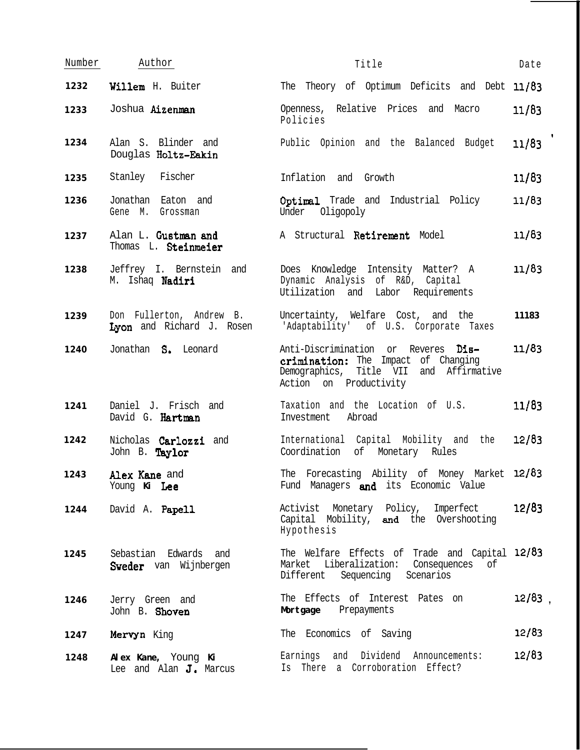| Number | Author                                                | Title                                                                                                                                           | Date  |
|--------|-------------------------------------------------------|-------------------------------------------------------------------------------------------------------------------------------------------------|-------|
| 1232   | Willem H. Buiter                                      | The Theory of Optimum Deficits and Debt 11/83                                                                                                   |       |
| 1233   | Joshua Aizenman                                       | Openness, Relative Prices and Macro<br>Policies                                                                                                 | 11/83 |
| 1234   | Alan S. Blinder and<br>Douglas Holtz-Eakin            | Public Opinion and the Balanced Budget                                                                                                          | 11/83 |
| 1235   | Stanley Fischer                                       | Inflation and Growth                                                                                                                            | 11/83 |
| 1236   | Jonathan Eaton and<br>Gene M. Grossman                | <b>Optimal</b> Trade and Industrial Policy<br>Under Oligopoly                                                                                   | 11/83 |
| 1237   | Alan L. Gustman and<br>Thomas L. Steinmeier           | A Structural Retirement Model                                                                                                                   | 11/83 |
| 1238   | Jeffrey I. Bernstein and<br>M. Ishaq Nadiri           | Does Knowledge Intensity Matter? A<br>Dynamic Analysis of R&D, Capital<br>Utilization and Labor Requirements                                    | 11/83 |
| 1239   | Don Fullerton, Andrew B.<br>Lyon and Richard J. Rosen | Uncertainty, Welfare Cost, and the<br>'Adaptability' of U.S. Corporate Taxes                                                                    | 11183 |
| 1240   | Jonathan S. Leonard                                   | Anti-Discrimination or Reveres Dis-<br>crimination: The Impact of Changing<br>Demographics, Title VII and Affirmative<br>Action on Productivity | 11/83 |
| 1241   | Daniel J. Frisch and<br>David G. Hartman              | Taxation and the Location of U.S.<br>Investment Abroad                                                                                          | 11/83 |
| 1242   | Nicholas <b>Carlozzi</b> and<br>John B. Taylor        | International Capital Mobility and the<br>Coordination of Monetary Rules                                                                        | 12/83 |
| 1243   | Alex Kane and<br>Young Ki Lee                         | The Forecasting Ability of Money Market $12/83$<br>Fund Managers and its Economic Value                                                         |       |
| 1244   | David A. Papell                                       | Activist Monetary Policy, Imperfect<br>Capital Mobility, and the Overshooting<br>Hypothesis                                                     | 12/83 |
| 1245   | Sebastian Edwards and<br>Sweder van Wijnbergen        | The Welfare Effects of Trade and Capital 12/83<br>Market Liberalization: Consequences<br>οf<br>Different<br>Sequencing<br>Scenarios             |       |
| 1246   | Jerry Green and<br>John B. Shoven                     | The Effects of Interest Pates on<br><b>Mortgage</b> Prepayments                                                                                 | 12/83 |
| 1247   | Mervyn King                                           | The Economics of Saving                                                                                                                         | 12/83 |
| 1248   | Alex Kane, Young Ki<br>Lee and Alan $J$ . Marcus      | Earnings and Dividend Announcements:<br>Is There a Corroboration Effect?                                                                        | 12/83 |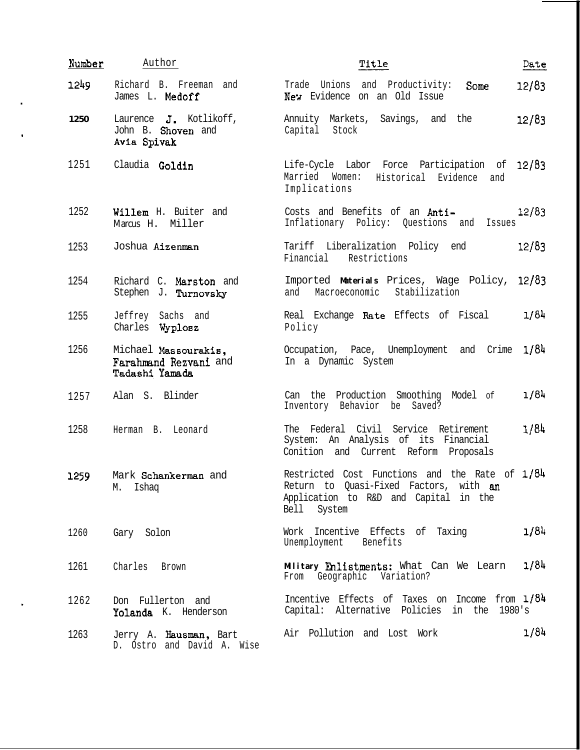|      | <b>Number</b> Author                                               | Title                                                                                                                                            | Date  |
|------|--------------------------------------------------------------------|--------------------------------------------------------------------------------------------------------------------------------------------------|-------|
| 1249 | Richard B. Freeman and<br>James L. Medoff                          | Trade Unions and Productivity:<br>Some<br>New Evidence on an Old Issue                                                                           | 12/83 |
| 1250 | Laurence <b>J.</b> Kotlikoff,<br>John B. Shoven and<br>Avia Spivak | Annuity Markets, Savings, and the<br>Capital Stock                                                                                               | 12/83 |
| 1251 | Claudia Goldin                                                     | Life-Cycle Labor Force Participation of 12/83<br>Married Women: Historical Evidence and<br>Implications                                          |       |
| 1252 | Willem H. Buiter and<br>Marcus H. Miller                           | Costs and Benefits of an Anti-<br>Inflationary Policy: Questions and Issues                                                                      | 12/83 |
| 1253 | Joshua Aizenman                                                    | Tariff Liberalization Policy end<br>Financial Restrictions                                                                                       | 12/83 |
| 1254 | Richard C. Marston and<br>Stephen J. Turnovsky                     | Imported Materials Prices, Wage Policy, 12/83<br>and Macroeconomic Stabilization                                                                 |       |
| 1255 | Jeffrey Sachs and<br>Charles Wyplosz                               | Real Exchange Rate Effects of Fiscal<br>Policy                                                                                                   | 1/84  |
| 1256 | Michael Massourakis,<br>Farahmand Rezvani and<br>Tadashi Yamada    | Occupation, Pace, Unemployment and Crime<br>In a Dynamic System                                                                                  | 1/84  |
|      | 1257 Alan S. Blinder                                               | Can the Production Smoothing Model of<br>Inventory Behavior be Saved?                                                                            | 1/84  |
| 1258 | Herman B. Leonard                                                  | The Federal Civil Service Retirement<br>System: An Analysis of its Financial<br>Conition and Current Reform Proposals                            | 1/84  |
| 1259 | Mark Schankerman and<br>Ishaq<br>М.                                | Restricted Cost Functions and the Rate of 1/84<br>Return to Quasi-Fixed Factors, with an<br>Application to R&D and Capital in the<br>Bell System |       |
| 1260 | Gary Solon                                                         | Incentive Effects of Taxing<br>Work<br>Unemployment Benefits                                                                                     | 1/84  |
| 1261 | Charles<br>Brown                                                   | Military Enlistments: What Can We Learn<br>From Geographic<br>Variation?                                                                         | 1/84  |
| 1262 | Don Fullerton and<br>Yolanda K. Henderson                          | Incentive Effects of Taxes on Income from 1/84<br>Capital: Alternative Policies in the 1980's                                                    |       |
| 1263 | Jerry A. Hausman, Bart<br>D. Ostro and David A. Wise               | Air Pollution and Lost Work                                                                                                                      | 1/84  |